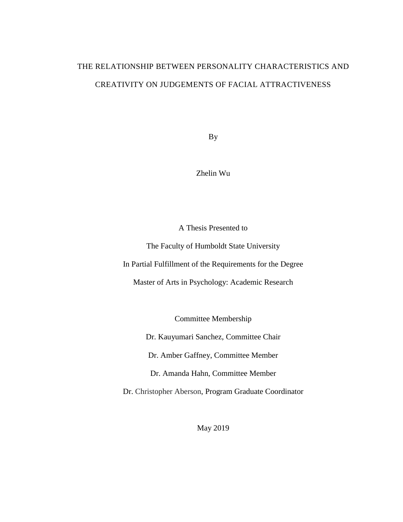# THE RELATIONSHIP BETWEEN PERSONALITY CHARACTERISTICS AND CREATIVITY ON JUDGEMENTS OF FACIAL ATTRACTIVENESS

By

Zhelin Wu

A Thesis Presented to

The Faculty of Humboldt State University In Partial Fulfillment of the Requirements for the Degree

Master of Arts in Psychology: Academic Research

Committee Membership

Dr. Kauyumari Sanchez, Committee Chair

Dr. Amber Gaffney, Committee Member

Dr. Amanda Hahn, Committee Member

Dr. Christopher Aberson, Program Graduate Coordinator

May 2019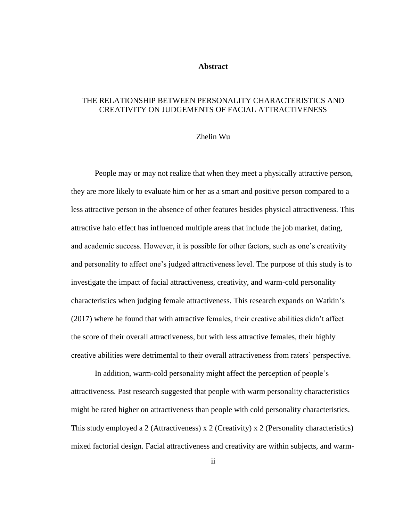#### **Abstract**

# <span id="page-1-0"></span>THE RELATIONSHIP BETWEEN PERSONALITY CHARACTERISTICS AND CREATIVITY ON JUDGEMENTS OF FACIAL ATTRACTIVENESS

#### Zhelin Wu

People may or may not realize that when they meet a physically attractive person, they are more likely to evaluate him or her as a smart and positive person compared to a less attractive person in the absence of other features besides physical attractiveness. This attractive halo effect has influenced multiple areas that include the job market, dating, and academic success. However, it is possible for other factors, such as one's creativity and personality to affect one's judged attractiveness level. The purpose of this study is to investigate the impact of facial attractiveness, creativity, and warm-cold personality characteristics when judging female attractiveness. This research expands on Watkin's (2017) where he found that with attractive females, their creative abilities didn't affect the score of their overall attractiveness, but with less attractive females, their highly creative abilities were detrimental to their overall attractiveness from raters' perspective.

In addition, warm-cold personality might affect the perception of people's attractiveness. Past research suggested that people with warm personality characteristics might be rated higher on attractiveness than people with cold personality characteristics. This study employed a 2 (Attractiveness) x 2 (Creativity) x 2 (Personality characteristics) mixed factorial design. Facial attractiveness and creativity are within subjects, and warm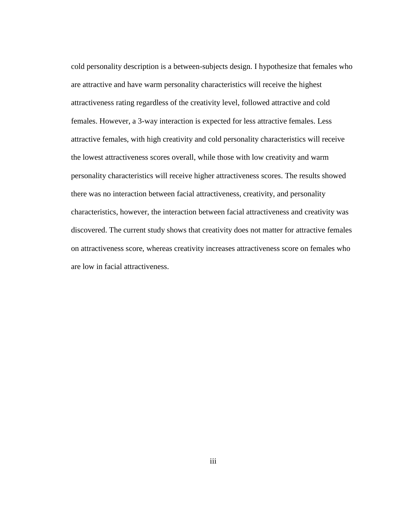cold personality description is a between-subjects design. I hypothesize that females who are attractive and have warm personality characteristics will receive the highest attractiveness rating regardless of the creativity level, followed attractive and cold females. However, a 3-way interaction is expected for less attractive females. Less attractive females, with high creativity and cold personality characteristics will receive the lowest attractiveness scores overall, while those with low creativity and warm personality characteristics will receive higher attractiveness scores. The results showed there was no interaction between facial attractiveness, creativity, and personality characteristics, however, the interaction between facial attractiveness and creativity was discovered. The current study shows that creativity does not matter for attractive females on attractiveness score, whereas creativity increases attractiveness score on females who are low in facial attractiveness.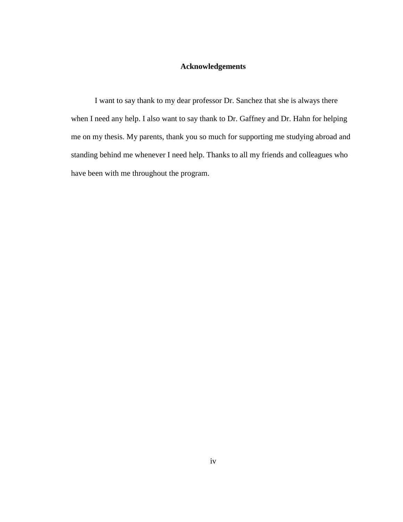# **Acknowledgements**

<span id="page-3-0"></span>I want to say thank to my dear professor Dr. Sanchez that she is always there when I need any help. I also want to say thank to Dr. Gaffney and Dr. Hahn for helping me on my thesis. My parents, thank you so much for supporting me studying abroad and standing behind me whenever I need help. Thanks to all my friends and colleagues who have been with me throughout the program.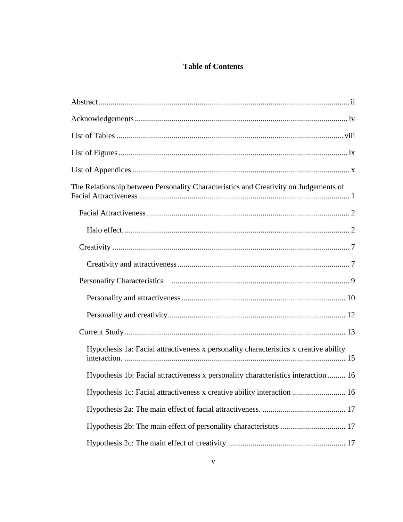# **Table of Contents**

| The Relationship between Personality Characteristics and Creativity on Judgements of  |
|---------------------------------------------------------------------------------------|
|                                                                                       |
|                                                                                       |
|                                                                                       |
|                                                                                       |
|                                                                                       |
|                                                                                       |
|                                                                                       |
|                                                                                       |
| Hypothesis 1a: Facial attractiveness x personality characteristics x creative ability |
| Hypothesis 1b: Facial attractiveness x personality characteristics interaction  16    |
| Hypothesis 1c: Facial attractiveness x creative ability interaction  16               |
|                                                                                       |
|                                                                                       |
|                                                                                       |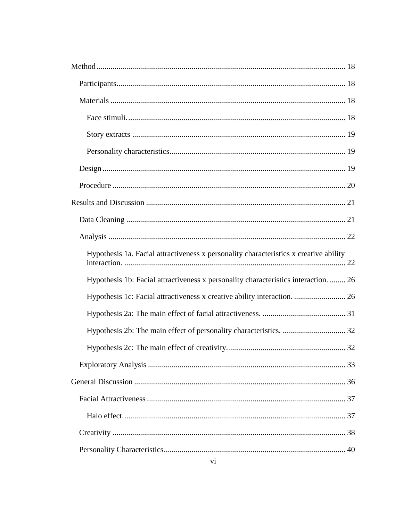| Hypothesis 1a. Facial attractiveness x personality characteristics x creative ability |  |
|---------------------------------------------------------------------------------------|--|
| Hypothesis 1b: Facial attractiveness x personality characteristics interaction.  26   |  |
| Hypothesis 1c: Facial attractiveness x creative ability interaction.  26              |  |
|                                                                                       |  |
|                                                                                       |  |
|                                                                                       |  |
|                                                                                       |  |
|                                                                                       |  |
|                                                                                       |  |
|                                                                                       |  |
|                                                                                       |  |
|                                                                                       |  |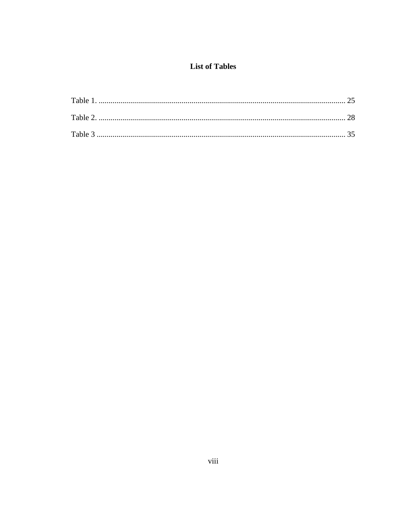# **List of Tables**

<span id="page-7-0"></span>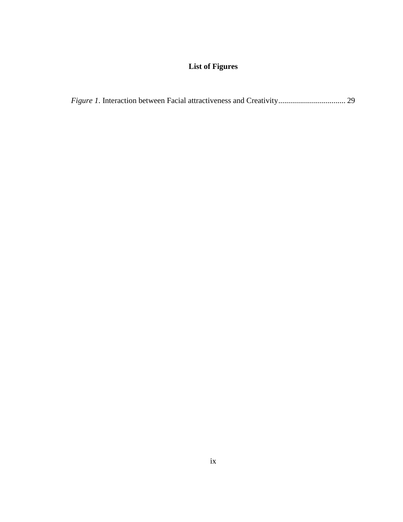# **List of Figures**

<span id="page-8-0"></span>

|--|--|--|--|--|--|--|--|--|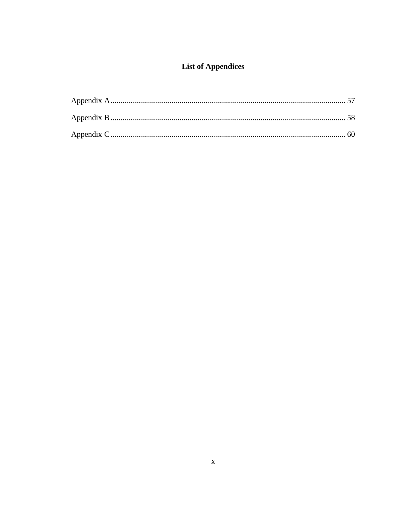# **List of Appendices**

<span id="page-9-0"></span>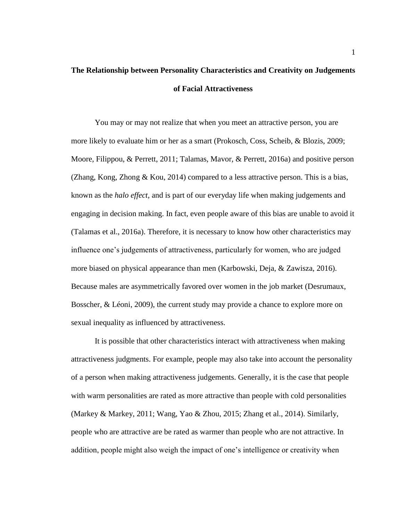# <span id="page-10-0"></span>**The Relationship between Personality Characteristics and Creativity on Judgements of Facial Attractiveness**

You may or may not realize that when you meet an attractive person, you are more likely to evaluate him or her as a smart (Prokosch, Coss, Scheib, & Blozis, 2009; Moore, Filippou, & Perrett, 2011; Talamas, Mavor, & Perrett, 2016a) and positive person (Zhang, Kong, Zhong & Kou, 2014) compared to a less attractive person. This is a bias, known as the *halo effect*, and is part of our everyday life when making judgements and engaging in decision making. In fact, even people aware of this bias are unable to avoid it (Talamas et al., 2016a). Therefore, it is necessary to know how other characteristics may influence one's judgements of attractiveness, particularly for women, who are judged more biased on physical appearance than men (Karbowski, Deja, & Zawisza, 2016). Because males are asymmetrically favored over women in the job market (Desrumaux, Bosscher, & Léoni, 2009), the current study may provide a chance to explore more on sexual inequality as influenced by attractiveness.

It is possible that other characteristics interact with attractiveness when making attractiveness judgments. For example, people may also take into account the personality of a person when making attractiveness judgements. Generally, it is the case that people with warm personalities are rated as more attractive than people with cold personalities (Markey & Markey, 2011; Wang, Yao & Zhou, 2015; Zhang et al., 2014). Similarly, people who are attractive are be rated as warmer than people who are not attractive. In addition, people might also weigh the impact of one's intelligence or creativity when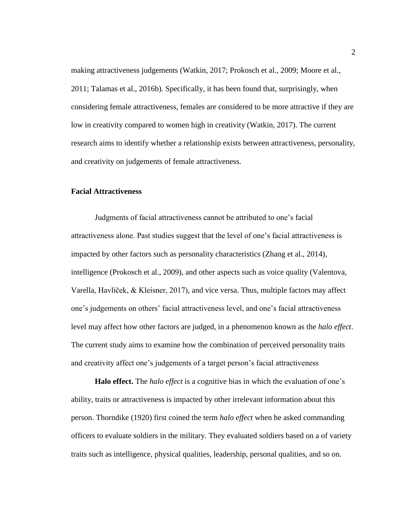making attractiveness judgements (Watkin, 2017; Prokosch et al., 2009; Moore et al., 2011; Talamas et al., 2016b). Specifically, it has been found that, surprisingly, when considering female attractiveness, females are considered to be more attractive if they are low in creativity compared to women high in creativity (Watkin, 2017). The current research aims to identify whether a relationship exists between attractiveness, personality, and creativity on judgements of female attractiveness.

## <span id="page-11-0"></span>**Facial Attractiveness**

Judgments of facial attractiveness cannot be attributed to one's facial attractiveness alone. Past studies suggest that the level of one's facial attractiveness is impacted by other factors such as personality characteristics (Zhang et al., 2014), intelligence (Prokosch et al., 2009), and other aspects such as voice quality (Valentova, Varella, Havlíček, & Kleisner, 2017), and vice versa. Thus, multiple factors may affect one's judgements on others' facial attractiveness level, and one's facial attractiveness level may affect how other factors are judged, in a phenomenon known as the *halo effect*. The current study aims to examine how the combination of perceived personality traits and creativity affect one's judgements of a target person's facial attractiveness

<span id="page-11-1"></span>**Halo effect.** The *halo effect* is a cognitive bias in which the evaluation of one's ability, traits or attractiveness is impacted by other irrelevant information about this person. Thorndike (1920) first coined the term *halo effect* when he asked commanding officers to evaluate soldiers in the military. They evaluated soldiers based on a of variety traits such as intelligence, physical qualities, leadership, personal qualities, and so on.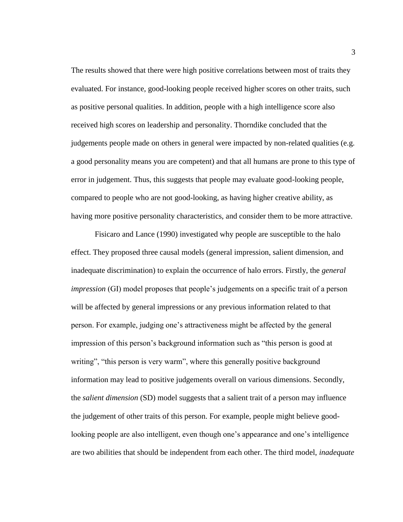The results showed that there were high positive correlations between most of traits they evaluated. For instance, good-looking people received higher scores on other traits, such as positive personal qualities. In addition, people with a high intelligence score also received high scores on leadership and personality. Thorndike concluded that the judgements people made on others in general were impacted by non-related qualities (e.g. a good personality means you are competent) and that all humans are prone to this type of error in judgement. Thus, this suggests that people may evaluate good-looking people, compared to people who are not good-looking, as having higher creative ability, as having more positive personality characteristics, and consider them to be more attractive.

Fisicaro and Lance (1990) investigated why people are susceptible to the halo effect. They proposed three causal models (general impression, salient dimension, and inadequate discrimination) to explain the occurrence of halo errors. Firstly, the *general impression* (GI) model proposes that people's judgements on a specific trait of a person will be affected by general impressions or any previous information related to that person. For example, judging one's attractiveness might be affected by the general impression of this person's background information such as "this person is good at writing", "this person is very warm", where this generally positive background information may lead to positive judgements overall on various dimensions. Secondly, the *salient dimension* (SD) model suggests that a salient trait of a person may influence the judgement of other traits of this person. For example, people might believe goodlooking people are also intelligent, even though one's appearance and one's intelligence are two abilities that should be independent from each other. The third model, *inadequate*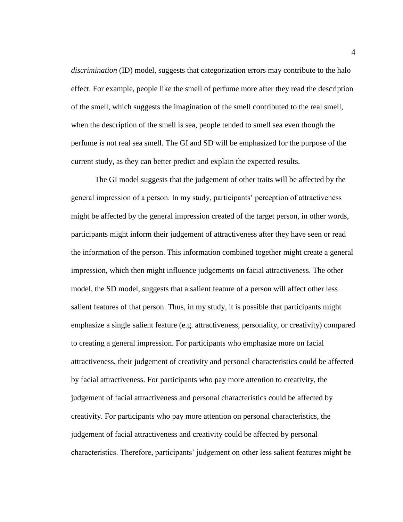*discrimination* (ID) model, suggests that categorization errors may contribute to the halo effect. For example, people like the smell of perfume more after they read the description of the smell, which suggests the imagination of the smell contributed to the real smell, when the description of the smell is sea, people tended to smell sea even though the perfume is not real sea smell. The GI and SD will be emphasized for the purpose of the current study, as they can better predict and explain the expected results.

The GI model suggests that the judgement of other traits will be affected by the general impression of a person. In my study, participants' perception of attractiveness might be affected by the general impression created of the target person, in other words, participants might inform their judgement of attractiveness after they have seen or read the information of the person. This information combined together might create a general impression, which then might influence judgements on facial attractiveness. The other model, the SD model, suggests that a salient feature of a person will affect other less salient features of that person. Thus, in my study, it is possible that participants might emphasize a single salient feature (e.g. attractiveness, personality, or creativity) compared to creating a general impression. For participants who emphasize more on facial attractiveness, their judgement of creativity and personal characteristics could be affected by facial attractiveness. For participants who pay more attention to creativity, the judgement of facial attractiveness and personal characteristics could be affected by creativity. For participants who pay more attention on personal characteristics, the judgement of facial attractiveness and creativity could be affected by personal characteristics. Therefore, participants' judgement on other less salient features might be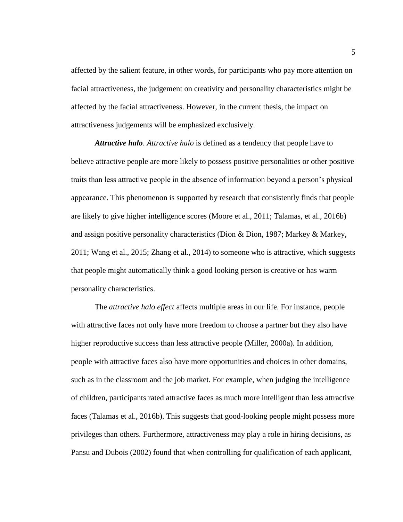affected by the salient feature, in other words, for participants who pay more attention on facial attractiveness, the judgement on creativity and personality characteristics might be affected by the facial attractiveness. However, in the current thesis, the impact on attractiveness judgements will be emphasized exclusively.

*Attractive halo*. *Attractive halo* is defined as a tendency that people have to believe attractive people are more likely to possess positive personalities or other positive traits than less attractive people in the absence of information beyond a person's physical appearance. This phenomenon is supported by research that consistently finds that people are likely to give higher intelligence scores (Moore et al., 2011; Talamas, et al., 2016b) and assign positive personality characteristics (Dion & Dion, 1987; Markey & Markey, 2011; Wang et al., 2015; Zhang et al., 2014) to someone who is attractive, which suggests that people might automatically think a good looking person is creative or has warm personality characteristics.

The *attractive halo effect* affects multiple areas in our life. For instance, people with attractive faces not only have more freedom to choose a partner but they also have higher reproductive success than less attractive people (Miller, 2000a). In addition, people with attractive faces also have more opportunities and choices in other domains, such as in the classroom and the job market. For example, when judging the intelligence of children, participants rated attractive faces as much more intelligent than less attractive faces (Talamas et al., 2016b). This suggests that good-looking people might possess more privileges than others. Furthermore, attractiveness may play a role in hiring decisions, as Pansu and Dubois (2002) found that when controlling for qualification of each applicant,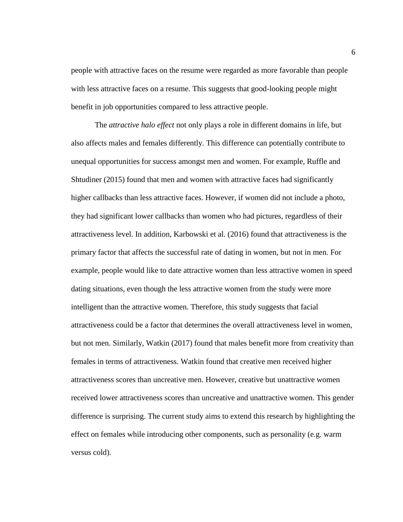people with attractive faces on the resume were regarded as more favorable than people with less attractive faces on a resume. This suggests that good-looking people might benefit in job opportunities compared to less attractive people.

The *attractive halo effect* not only plays a role in different domains in life, but also affects males and females differently. This difference can potentially contribute to unequal opportunities for success amongst men and women. For example, Ruffle and Shtudiner (2015) found that men and women with attractive faces had significantly higher callbacks than less attractive faces. However, if women did not include a photo, they had significant lower callbacks than women who had pictures, regardless of their attractiveness level. In addition, Karbowski et al. (2016) found that attractiveness is the primary factor that affects the successful rate of dating in women, but not in men. For example, people would like to date attractive women than less attractive women in speed dating situations, even though the less attractive women from the study were more intelligent than the attractive women. Therefore, this study suggests that facial attractiveness could be a factor that determines the overall attractiveness level in women, but not men. Similarly, Watkin (2017) found that males benefit more from creativity than females in terms of attractiveness. Watkin found that creative men received higher attractiveness scores than uncreative men. However, creative but unattractive women received lower attractiveness scores than uncreative and unattractive women. This gender difference is surprising. The current study aims to extend this research by highlighting the effect on females while introducing other components, such as personality (e.g. warm versus cold).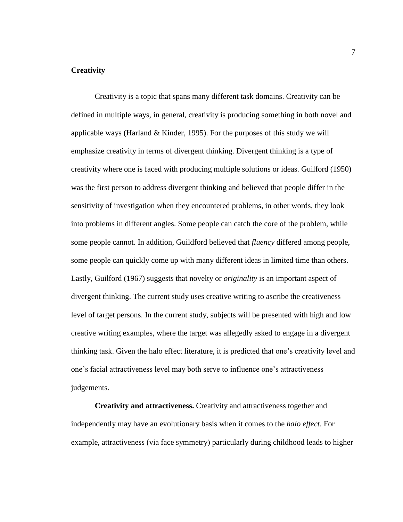## <span id="page-16-0"></span>**Creativity**

Creativity is a topic that spans many different task domains. Creativity can be defined in multiple ways, in general, creativity is producing something in both novel and applicable ways (Harland  $&$  Kinder, 1995). For the purposes of this study we will emphasize creativity in terms of divergent thinking. Divergent thinking is a type of creativity where one is faced with producing multiple solutions or ideas. Guilford (1950) was the first person to address divergent thinking and believed that people differ in the sensitivity of investigation when they encountered problems, in other words, they look into problems in different angles. Some people can catch the core of the problem, while some people cannot. In addition, Guildford believed that *fluency* differed among people, some people can quickly come up with many different ideas in limited time than others. Lastly, Guilford (1967) suggests that novelty or *originality* is an important aspect of divergent thinking. The current study uses creative writing to ascribe the creativeness level of target persons. In the current study, subjects will be presented with high and low creative writing examples, where the target was allegedly asked to engage in a divergent thinking task. Given the halo effect literature, it is predicted that one's creativity level and one's facial attractiveness level may both serve to influence one's attractiveness judgements.

<span id="page-16-1"></span>**Creativity and attractiveness.** Creativity and attractiveness together and independently may have an evolutionary basis when it comes to the *halo effect*. For example, attractiveness (via face symmetry) particularly during childhood leads to higher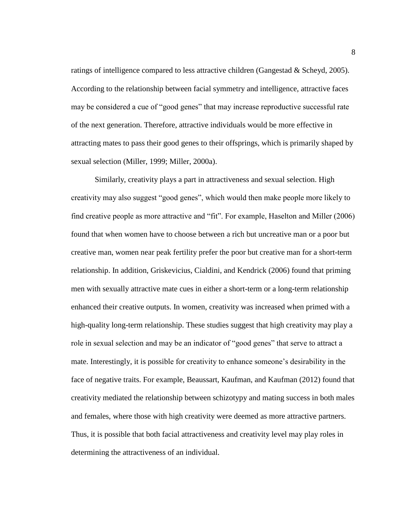ratings of intelligence compared to less attractive children (Gangestad & Scheyd, 2005). According to the relationship between facial symmetry and intelligence, attractive faces may be considered a cue of "good genes" that may increase reproductive successful rate of the next generation. Therefore, attractive individuals would be more effective in attracting mates to pass their good genes to their offsprings, which is primarily shaped by sexual selection (Miller, 1999; Miller, 2000a).

Similarly, creativity plays a part in attractiveness and sexual selection. High creativity may also suggest "good genes", which would then make people more likely to find creative people as more attractive and "fit". For example, Haselton and Miller (2006) found that when women have to choose between a rich but uncreative man or a poor but creative man, women near peak fertility prefer the poor but creative man for a short-term relationship. In addition, Griskevicius, Cialdini, and Kendrick (2006) found that priming men with sexually attractive mate cues in either a short-term or a long-term relationship enhanced their creative outputs. In women, creativity was increased when primed with a high-quality long-term relationship. These studies suggest that high creativity may play a role in sexual selection and may be an indicator of "good genes" that serve to attract a mate. Interestingly, it is possible for creativity to enhance someone's desirability in the face of negative traits. For example, Beaussart, Kaufman, and Kaufman (2012) found that creativity mediated the relationship between schizotypy and mating success in both males and females, where those with high creativity were deemed as more attractive partners. Thus, it is possible that both facial attractiveness and creativity level may play roles in determining the attractiveness of an individual.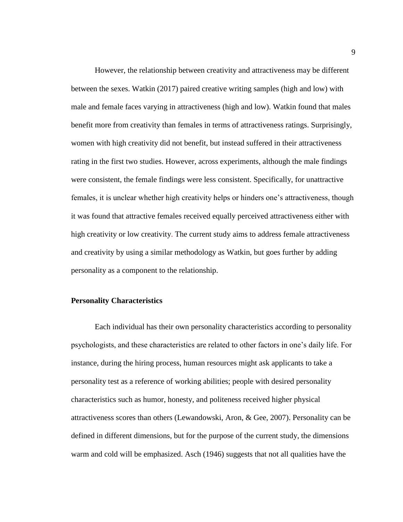However, the relationship between creativity and attractiveness may be different between the sexes. Watkin (2017) paired creative writing samples (high and low) with male and female faces varying in attractiveness (high and low). Watkin found that males benefit more from creativity than females in terms of attractiveness ratings. Surprisingly, women with high creativity did not benefit, but instead suffered in their attractiveness rating in the first two studies. However, across experiments, although the male findings were consistent, the female findings were less consistent. Specifically, for unattractive females, it is unclear whether high creativity helps or hinders one's attractiveness, though it was found that attractive females received equally perceived attractiveness either with high creativity or low creativity. The current study aims to address female attractiveness and creativity by using a similar methodology as Watkin, but goes further by adding personality as a component to the relationship.

#### <span id="page-18-0"></span>**Personality Characteristics**

Each individual has their own personality characteristics according to personality psychologists, and these characteristics are related to other factors in one's daily life. For instance, during the hiring process, human resources might ask applicants to take a personality test as a reference of working abilities; people with desired personality characteristics such as humor, honesty, and politeness received higher physical attractiveness scores than others (Lewandowski, Aron, & Gee, 2007). Personality can be defined in different dimensions, but for the purpose of the current study, the dimensions warm and cold will be emphasized. Asch (1946) suggests that not all qualities have the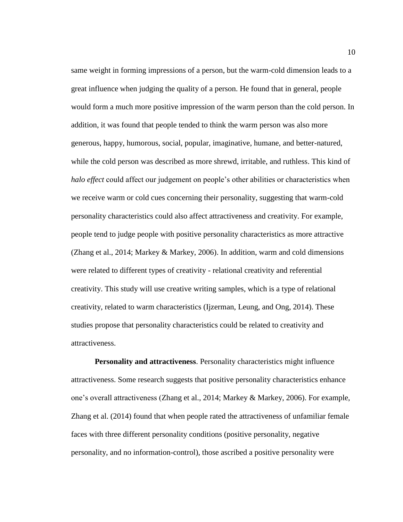same weight in forming impressions of a person, but the warm-cold dimension leads to a great influence when judging the quality of a person. He found that in general, people would form a much more positive impression of the warm person than the cold person. In addition, it was found that people tended to think the warm person was also more generous, happy, humorous, social, popular, imaginative, humane, and better-natured, while the cold person was described as more shrewd, irritable, and ruthless. This kind of *halo effect* could affect our judgement on people's other abilities or characteristics when we receive warm or cold cues concerning their personality, suggesting that warm-cold personality characteristics could also affect attractiveness and creativity. For example, people tend to judge people with positive personality characteristics as more attractive (Zhang et al., 2014; Markey & Markey, 2006). In addition, warm and cold dimensions were related to different types of creativity - relational creativity and referential creativity. This study will use creative writing samples, which is a type of relational creativity, related to warm characteristics (Ijzerman, Leung, and Ong, 2014). These studies propose that personality characteristics could be related to creativity and attractiveness.

<span id="page-19-0"></span>**Personality and attractiveness**. Personality characteristics might influence attractiveness. Some research suggests that positive personality characteristics enhance one's overall attractiveness (Zhang et al., 2014; Markey & Markey, 2006). For example, Zhang et al. (2014) found that when people rated the attractiveness of unfamiliar female faces with three different personality conditions (positive personality, negative personality, and no information-control), those ascribed a positive personality were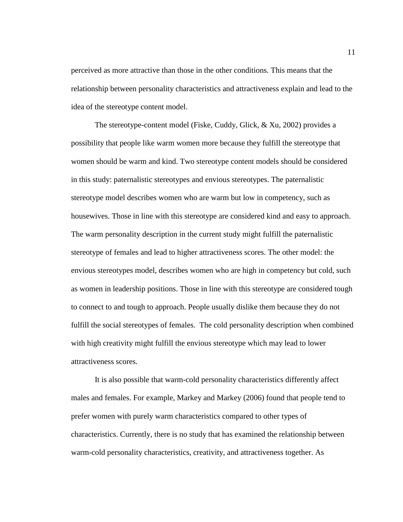perceived as more attractive than those in the other conditions. This means that the relationship between personality characteristics and attractiveness explain and lead to the idea of the stereotype content model.

The stereotype-content model (Fiske, Cuddy, Glick, & Xu, 2002) provides a possibility that people like warm women more because they fulfill the stereotype that women should be warm and kind. Two stereotype content models should be considered in this study: paternalistic stereotypes and envious stereotypes. The paternalistic stereotype model describes women who are warm but low in competency, such as housewives. Those in line with this stereotype are considered kind and easy to approach. The warm personality description in the current study might fulfill the paternalistic stereotype of females and lead to higher attractiveness scores. The other model: the envious stereotypes model, describes women who are high in competency but cold, such as women in leadership positions. Those in line with this stereotype are considered tough to connect to and tough to approach. People usually dislike them because they do not fulfill the social stereotypes of females. The cold personality description when combined with high creativity might fulfill the envious stereotype which may lead to lower attractiveness scores.

It is also possible that warm-cold personality characteristics differently affect males and females. For example, Markey and Markey (2006) found that people tend to prefer women with purely warm characteristics compared to other types of characteristics. Currently, there is no study that has examined the relationship between warm-cold personality characteristics, creativity, and attractiveness together. As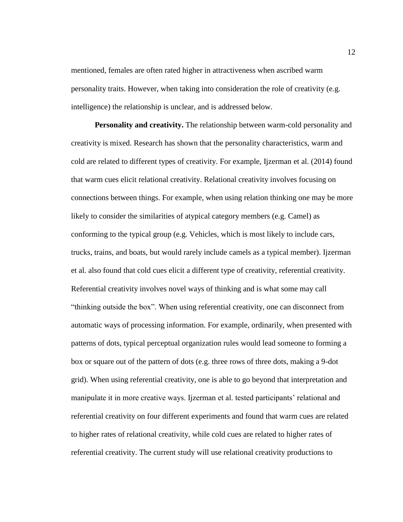mentioned, females are often rated higher in attractiveness when ascribed warm personality traits. However, when taking into consideration the role of creativity (e.g. intelligence) the relationship is unclear, and is addressed below.

<span id="page-21-0"></span>**Personality and creativity.** The relationship between warm-cold personality and creativity is mixed. Research has shown that the personality characteristics, warm and cold are related to different types of creativity. For example, Ijzerman et al. (2014) found that warm cues elicit relational creativity. Relational creativity involves focusing on connections between things. For example, when using relation thinking one may be more likely to consider the similarities of atypical category members (e.g. Camel) as conforming to the typical group (e.g. Vehicles, which is most likely to include cars, trucks, trains, and boats, but would rarely include camels as a typical member). Ijzerman et al. also found that cold cues elicit a different type of creativity, referential creativity. Referential creativity involves novel ways of thinking and is what some may call "thinking outside the box". When using referential creativity, one can disconnect from automatic ways of processing information. For example, ordinarily, when presented with patterns of dots, typical perceptual organization rules would lead someone to forming a box or square out of the pattern of dots (e.g. three rows of three dots, making a 9-dot grid). When using referential creativity, one is able to go beyond that interpretation and manipulate it in more creative ways. Ijzerman et al. tested participants' relational and referential creativity on four different experiments and found that warm cues are related to higher rates of relational creativity, while cold cues are related to higher rates of referential creativity. The current study will use relational creativity productions to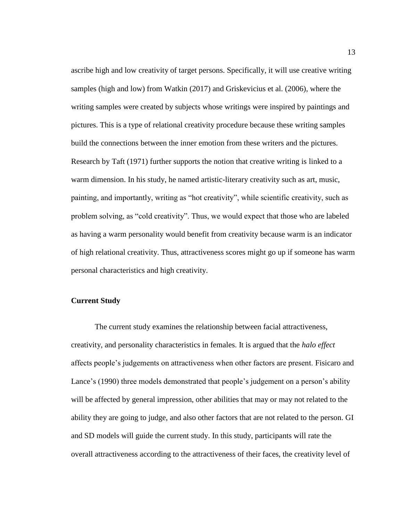ascribe high and low creativity of target persons. Specifically, it will use creative writing samples (high and low) from Watkin (2017) and Griskevicius et al. (2006), where the writing samples were created by subjects whose writings were inspired by paintings and pictures. This is a type of relational creativity procedure because these writing samples build the connections between the inner emotion from these writers and the pictures. Research by Taft (1971) further supports the notion that creative writing is linked to a warm dimension. In his study, he named artistic-literary creativity such as art, music, painting, and importantly, writing as "hot creativity", while scientific creativity, such as problem solving, as "cold creativity". Thus, we would expect that those who are labeled as having a warm personality would benefit from creativity because warm is an indicator of high relational creativity. Thus, attractiveness scores might go up if someone has warm personal characteristics and high creativity.

## <span id="page-22-0"></span>**Current Study**

The current study examines the relationship between facial attractiveness, creativity, and personality characteristics in females. It is argued that the *halo effect*  affects people's judgements on attractiveness when other factors are present. Fisicaro and Lance's (1990) three models demonstrated that people's judgement on a person's ability will be affected by general impression, other abilities that may or may not related to the ability they are going to judge, and also other factors that are not related to the person. GI and SD models will guide the current study. In this study, participants will rate the overall attractiveness according to the attractiveness of their faces, the creativity level of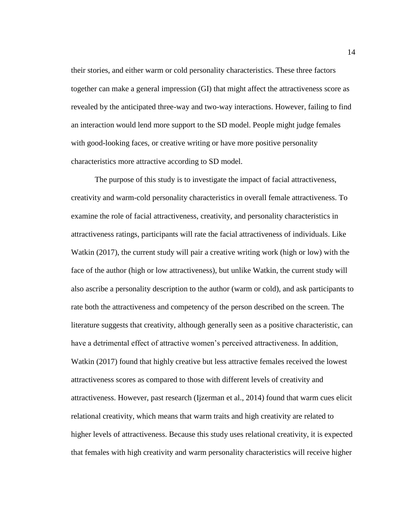their stories, and either warm or cold personality characteristics. These three factors together can make a general impression (GI) that might affect the attractiveness score as revealed by the anticipated three-way and two-way interactions. However, failing to find an interaction would lend more support to the SD model. People might judge females with good-looking faces, or creative writing or have more positive personality characteristics more attractive according to SD model.

The purpose of this study is to investigate the impact of facial attractiveness, creativity and warm-cold personality characteristics in overall female attractiveness. To examine the role of facial attractiveness, creativity, and personality characteristics in attractiveness ratings, participants will rate the facial attractiveness of individuals. Like Watkin (2017), the current study will pair a creative writing work (high or low) with the face of the author (high or low attractiveness), but unlike Watkin, the current study will also ascribe a personality description to the author (warm or cold), and ask participants to rate both the attractiveness and competency of the person described on the screen. The literature suggests that creativity, although generally seen as a positive characteristic, can have a detrimental effect of attractive women's perceived attractiveness. In addition, Watkin (2017) found that highly creative but less attractive females received the lowest attractiveness scores as compared to those with different levels of creativity and attractiveness. However, past research (Ijzerman et al., 2014) found that warm cues elicit relational creativity, which means that warm traits and high creativity are related to higher levels of attractiveness. Because this study uses relational creativity, it is expected that females with high creativity and warm personality characteristics will receive higher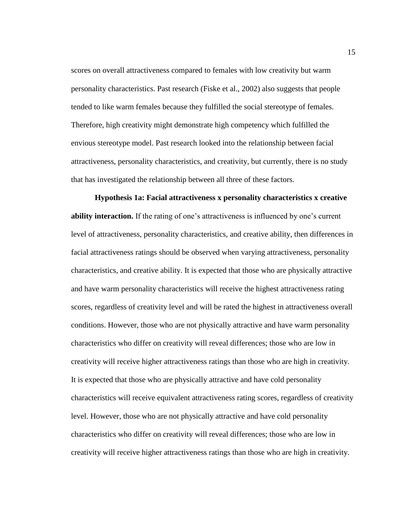scores on overall attractiveness compared to females with low creativity but warm personality characteristics. Past research (Fiske et al., 2002) also suggests that people tended to like warm females because they fulfilled the social stereotype of females. Therefore, high creativity might demonstrate high competency which fulfilled the envious stereotype model. Past research looked into the relationship between facial attractiveness, personality characteristics, and creativity, but currently, there is no study that has investigated the relationship between all three of these factors.

<span id="page-24-0"></span>**Hypothesis 1a: Facial attractiveness x personality characteristics x creative ability interaction.** If the rating of one's attractiveness is influenced by one's current level of attractiveness, personality characteristics, and creative ability, then differences in facial attractiveness ratings should be observed when varying attractiveness, personality characteristics, and creative ability. It is expected that those who are physically attractive and have warm personality characteristics will receive the highest attractiveness rating scores, regardless of creativity level and will be rated the highest in attractiveness overall conditions. However, those who are not physically attractive and have warm personality characteristics who differ on creativity will reveal differences; those who are low in creativity will receive higher attractiveness ratings than those who are high in creativity. It is expected that those who are physically attractive and have cold personality characteristics will receive equivalent attractiveness rating scores, regardless of creativity level. However, those who are not physically attractive and have cold personality characteristics who differ on creativity will reveal differences; those who are low in creativity will receive higher attractiveness ratings than those who are high in creativity.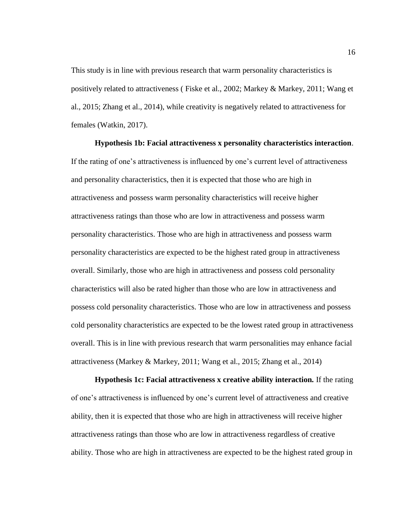This study is in line with previous research that warm personality characteristics is positively related to attractiveness ( Fiske et al., 2002; Markey & Markey, 2011; Wang et al., 2015; Zhang et al., 2014), while creativity is negatively related to attractiveness for females (Watkin, 2017).

<span id="page-25-0"></span>**Hypothesis 1b: Facial attractiveness x personality characteristics interaction**. If the rating of one's attractiveness is influenced by one's current level of attractiveness and personality characteristics, then it is expected that those who are high in attractiveness and possess warm personality characteristics will receive higher attractiveness ratings than those who are low in attractiveness and possess warm personality characteristics. Those who are high in attractiveness and possess warm personality characteristics are expected to be the highest rated group in attractiveness overall. Similarly, those who are high in attractiveness and possess cold personality characteristics will also be rated higher than those who are low in attractiveness and possess cold personality characteristics. Those who are low in attractiveness and possess cold personality characteristics are expected to be the lowest rated group in attractiveness overall. This is in line with previous research that warm personalities may enhance facial attractiveness (Markey & Markey, 2011; Wang et al., 2015; Zhang et al., 2014)

<span id="page-25-1"></span>**Hypothesis 1c: Facial attractiveness x creative ability interaction***.* If the rating of one's attractiveness is influenced by one's current level of attractiveness and creative ability, then it is expected that those who are high in attractiveness will receive higher attractiveness ratings than those who are low in attractiveness regardless of creative ability. Those who are high in attractiveness are expected to be the highest rated group in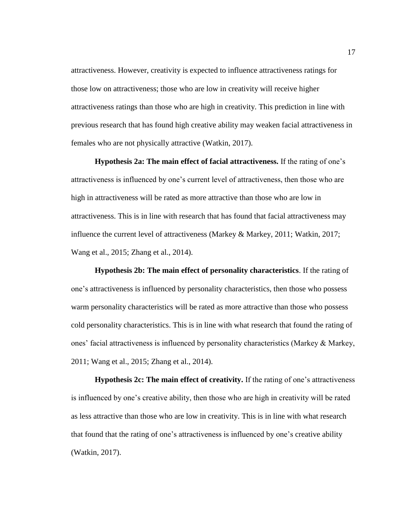attractiveness. However, creativity is expected to influence attractiveness ratings for those low on attractiveness; those who are low in creativity will receive higher attractiveness ratings than those who are high in creativity. This prediction in line with previous research that has found high creative ability may weaken facial attractiveness in females who are not physically attractive (Watkin, 2017).

<span id="page-26-0"></span>**Hypothesis 2a: The main effect of facial attractiveness.** If the rating of one's attractiveness is influenced by one's current level of attractiveness, then those who are high in attractiveness will be rated as more attractive than those who are low in attractiveness. This is in line with research that has found that facial attractiveness may influence the current level of attractiveness (Markey & Markey, 2011; Watkin, 2017; Wang et al., 2015; Zhang et al., 2014).

<span id="page-26-1"></span>**Hypothesis 2b: The main effect of personality characteristics**. If the rating of one's attractiveness is influenced by personality characteristics, then those who possess warm personality characteristics will be rated as more attractive than those who possess cold personality characteristics. This is in line with what research that found the rating of ones' facial attractiveness is influenced by personality characteristics (Markey & Markey, 2011; Wang et al., 2015; Zhang et al., 2014).

<span id="page-26-2"></span>**Hypothesis 2c: The main effect of creativity.** If the rating of one's attractiveness is influenced by one's creative ability, then those who are high in creativity will be rated as less attractive than those who are low in creativity. This is in line with what research that found that the rating of one's attractiveness is influenced by one's creative ability (Watkin, 2017).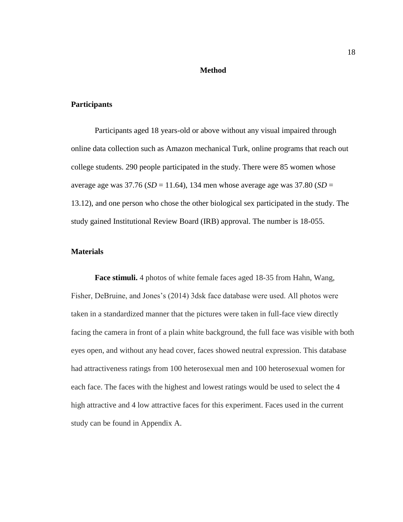#### **Method**

### <span id="page-27-1"></span><span id="page-27-0"></span>**Participants**

Participants aged 18 years-old or above without any visual impaired through online data collection such as Amazon mechanical Turk, online programs that reach out college students. 290 people participated in the study. There were 85 women whose average age was  $37.76$  ( $SD = 11.64$ ), 134 men whose average age was  $37.80$  ( $SD = 11.64$ ) 13.12), and one person who chose the other biological sex participated in the study. The study gained Institutional Review Board (IRB) approval. The number is 18-055.

# <span id="page-27-2"></span>**Materials**

<span id="page-27-3"></span>**Face stimuli.** 4 photos of white female faces aged 18-35 from Hahn, Wang, Fisher, DeBruine, and Jones's (2014) 3dsk face database were used. All photos were taken in a standardized manner that the pictures were taken in full-face view directly facing the camera in front of a plain white background, the full face was visible with both eyes open, and without any head cover, faces showed neutral expression. This database had attractiveness ratings from 100 heterosexual men and 100 heterosexual women for each face. The faces with the highest and lowest ratings would be used to select the 4 high attractive and 4 low attractive faces for this experiment. Faces used in the current study can be found in Appendix A.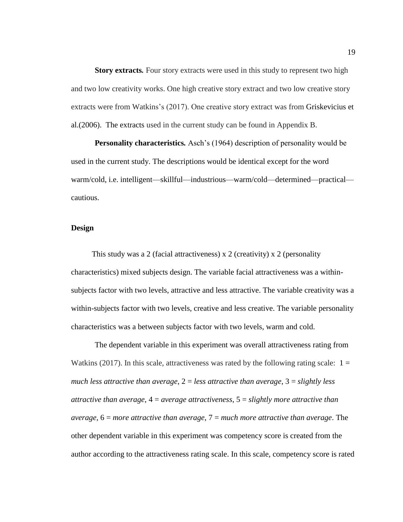<span id="page-28-0"></span>**Story extracts***.* Four story extracts were used in this study to represent two high and two low creativity works. One high creative story extract and two low creative story extracts were from Watkins's (2017). One creative story extract was from Griskevicius et al.(2006). The extracts used in the current study can be found in Appendix B.

<span id="page-28-1"></span>**Personality characteristics***.* Asch's (1964) description of personality would be used in the current study. The descriptions would be identical except for the word warm/cold, i.e. intelligent—skillful—industrious—warm/cold—determined—practical cautious.

## <span id="page-28-2"></span>**Design**

This study was a 2 (facial attractiveness) x 2 (creativity) x 2 (personality characteristics) mixed subjects design. The variable facial attractiveness was a withinsubjects factor with two levels, attractive and less attractive. The variable creativity was a within-subjects factor with two levels, creative and less creative. The variable personality characteristics was a between subjects factor with two levels, warm and cold.

The dependent variable in this experiment was overall attractiveness rating from Watkins (2017). In this scale, attractiveness was rated by the following rating scale:  $1 =$ *much less attractive than average*, 2 = *less attractive than average*, 3 = *slightly less attractive than average*, 4 = *average attractiveness*, 5 = *slightly more attractive than average*, 6 = *more attractive than average*, 7 = *much more attractive than average*. The other dependent variable in this experiment was competency score is created from the author according to the attractiveness rating scale. In this scale, competency score is rated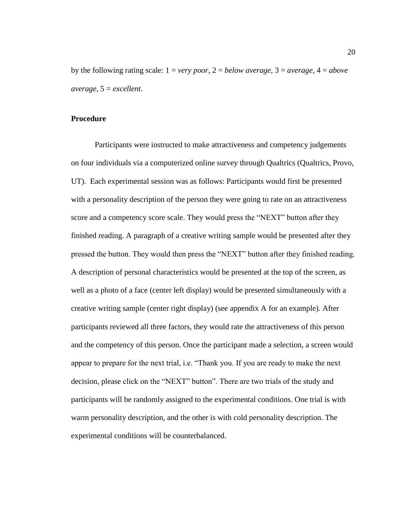by the following rating scale: 1 = *very poor*, 2 = *below average*, 3 = *average*, 4 = *above average*, 5 = *excellent*.

#### <span id="page-29-0"></span>**Procedure**

Participants were instructed to make attractiveness and competency judgements on four individuals via a computerized online survey through Qualtrics (Qualtrics, Provo, UT). Each experimental session was as follows: Participants would first be presented with a personality description of the person they were going to rate on an attractiveness score and a competency score scale. They would press the "NEXT" button after they finished reading. A paragraph of a creative writing sample would be presented after they pressed the button. They would then press the "NEXT" button after they finished reading. A description of personal characteristics would be presented at the top of the screen, as well as a photo of a face (center left display) would be presented simultaneously with a creative writing sample (center right display) (see appendix A for an example). After participants reviewed all three factors, they would rate the attractiveness of this person and the competency of this person. Once the participant made a selection, a screen would appear to prepare for the next trial, i.e. "Thank you. If you are ready to make the next decision, please click on the "NEXT" button". There are two trials of the study and participants will be randomly assigned to the experimental conditions. One trial is with warm personality description, and the other is with cold personality description. The experimental conditions will be counterbalanced.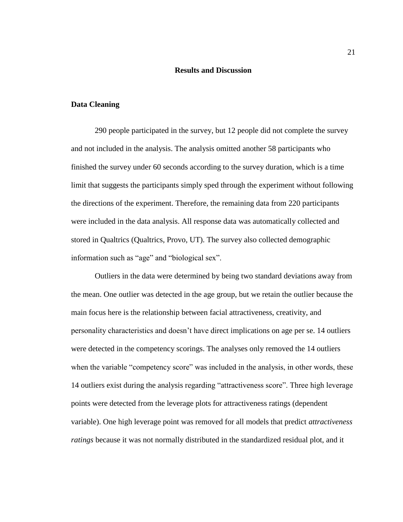# **Results and Discussion**

### <span id="page-30-1"></span><span id="page-30-0"></span>**Data Cleaning**

290 people participated in the survey, but 12 people did not complete the survey and not included in the analysis. The analysis omitted another 58 participants who finished the survey under 60 seconds according to the survey duration, which is a time limit that suggests the participants simply sped through the experiment without following the directions of the experiment. Therefore, the remaining data from 220 participants were included in the data analysis. All response data was automatically collected and stored in Qualtrics (Qualtrics, Provo, UT). The survey also collected demographic information such as "age" and "biological sex".

Outliers in the data were determined by being two standard deviations away from the mean. One outlier was detected in the age group, but we retain the outlier because the main focus here is the relationship between facial attractiveness, creativity, and personality characteristics and doesn't have direct implications on age per se. 14 outliers were detected in the competency scorings. The analyses only removed the 14 outliers when the variable "competency score" was included in the analysis, in other words, these 14 outliers exist during the analysis regarding "attractiveness score". Three high leverage points were detected from the leverage plots for attractiveness ratings (dependent variable). One high leverage point was removed for all models that predict *attractiveness ratings* because it was not normally distributed in the standardized residual plot, and it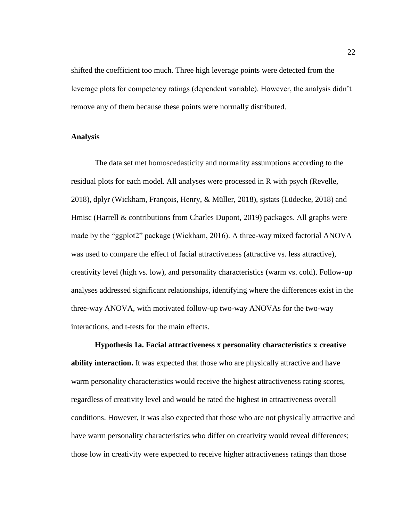shifted the coefficient too much. Three high leverage points were detected from the leverage plots for competency ratings (dependent variable). However, the analysis didn't remove any of them because these points were normally distributed.

#### <span id="page-31-0"></span>**Analysis**

The data set met homoscedasticity and normality assumptions according to the residual plots for each model. All analyses were processed in R with psych (Revelle, 2018), dplyr (Wickham, François, Henry, & Müller, 2018), sjstats (Lüdecke, 2018) and Hmisc (Harrell & contributions from Charles Dupont, 2019) packages. All graphs were made by the "ggplot2" package (Wickham, 2016). A three-way mixed factorial ANOVA was used to compare the effect of facial attractiveness (attractive vs. less attractive), creativity level (high vs. low), and personality characteristics (warm vs. cold). Follow-up analyses addressed significant relationships, identifying where the differences exist in the three-way ANOVA, with motivated follow-up two-way ANOVAs for the two-way interactions, and t-tests for the main effects.

<span id="page-31-1"></span>**Hypothesis 1a. Facial attractiveness x personality characteristics x creative ability interaction.** It was expected that those who are physically attractive and have warm personality characteristics would receive the highest attractiveness rating scores, regardless of creativity level and would be rated the highest in attractiveness overall conditions. However, it was also expected that those who are not physically attractive and have warm personality characteristics who differ on creativity would reveal differences; those low in creativity were expected to receive higher attractiveness ratings than those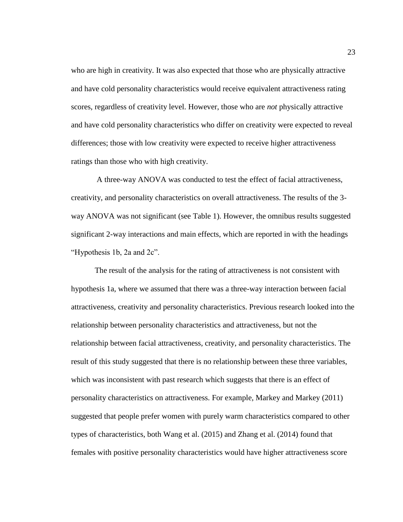who are high in creativity. It was also expected that those who are physically attractive and have cold personality characteristics would receive equivalent attractiveness rating scores, regardless of creativity level. However, those who are *not* physically attractive and have cold personality characteristics who differ on creativity were expected to reveal differences; those with low creativity were expected to receive higher attractiveness ratings than those who with high creativity.

A three-way ANOVA was conducted to test the effect of facial attractiveness, creativity, and personality characteristics on overall attractiveness. The results of the 3 way ANOVA was not significant (see Table 1). However, the omnibus results suggested significant 2-way interactions and main effects, which are reported in with the headings "Hypothesis 1b, 2a and 2c".

The result of the analysis for the rating of attractiveness is not consistent with hypothesis 1a, where we assumed that there was a three-way interaction between facial attractiveness, creativity and personality characteristics. Previous research looked into the relationship between personality characteristics and attractiveness, but not the relationship between facial attractiveness, creativity, and personality characteristics. The result of this study suggested that there is no relationship between these three variables, which was inconsistent with past research which suggests that there is an effect of personality characteristics on attractiveness. For example, Markey and Markey (2011) suggested that people prefer women with purely warm characteristics compared to other types of characteristics, both Wang et al. (2015) and Zhang et al. (2014) found that females with positive personality characteristics would have higher attractiveness score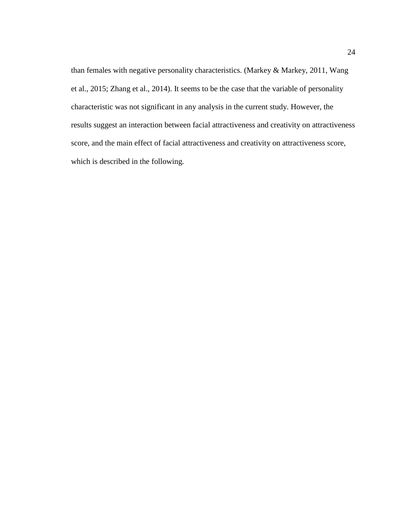than females with negative personality characteristics. (Markey & Markey, 2011, Wang et al., 2015; Zhang et al., 2014). It seems to be the case that the variable of personality characteristic was not significant in any analysis in the current study. However, the results suggest an interaction between facial attractiveness and creativity on attractiveness score, and the main effect of facial attractiveness and creativity on attractiveness score, which is described in the following.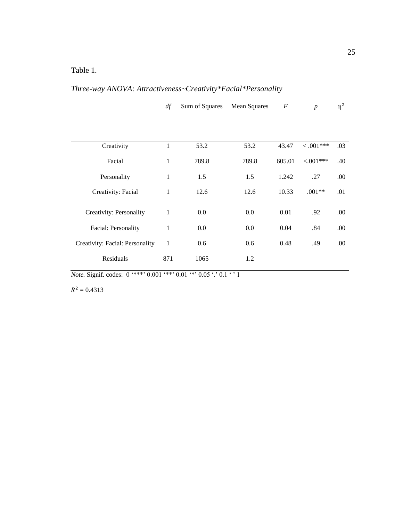# <span id="page-34-0"></span>Table 1.

*Three-way ANOVA: Attractiveness~Creativity\*Facial\*Personality*

|                                 | df           | Sum of Squares | <b>Mean Squares</b> | $\boldsymbol{F}$ | $\boldsymbol{p}$ | $\overline{\eta}^2$ |
|---------------------------------|--------------|----------------|---------------------|------------------|------------------|---------------------|
|                                 |              |                |                     |                  |                  |                     |
|                                 |              | 53.2           | 53.2                | 43.47            | $0.001***$       | .03                 |
| Creativity                      | 1            |                |                     |                  |                  |                     |
| Facial                          | $\mathbf 1$  | 789.8          | 789.8               | 605.01           | $< 0.01***$      | .40                 |
| Personality                     | 1            | 1.5            | 1.5                 | 1.242            | .27              | .00                 |
| Creativity: Facial              | $\mathbf 1$  | 12.6           | 12.6                | 10.33            | $.001**$         | .01                 |
| Creativity: Personality         | 1            | $0.0\,$        | 0.0                 | 0.01             | .92              | .00.                |
| Facial: Personality             | $\mathbf{1}$ | $0.0\,$        | $0.0\,$             | 0.04             | .84              | .00.                |
| Creativity: Facial: Personality | $\mathbf{1}$ | 0.6            | 0.6                 | 0.48             | .49              | .00                 |
| Residuals                       | 871          | 1065           | 1.2                 |                  |                  |                     |

*Note.* Signif. codes: 0 '\*\*\*' 0.001 '\*\*' 0.01 '\*' 0.05 '.' 0.1 ' ' 1

 $R^2 = 0.4313$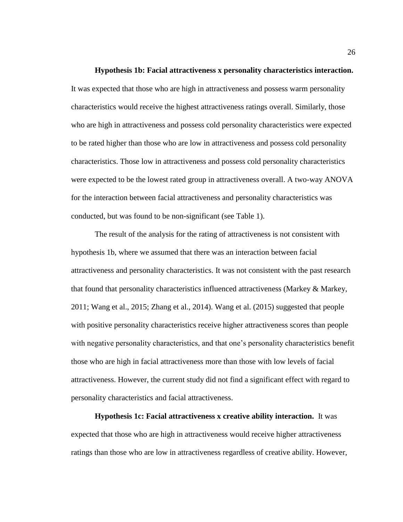#### **Hypothesis 1b: Facial attractiveness x personality characteristics interaction.**

<span id="page-35-0"></span>It was expected that those who are high in attractiveness and possess warm personality characteristics would receive the highest attractiveness ratings overall. Similarly, those who are high in attractiveness and possess cold personality characteristics were expected to be rated higher than those who are low in attractiveness and possess cold personality characteristics. Those low in attractiveness and possess cold personality characteristics were expected to be the lowest rated group in attractiveness overall. A two-way ANOVA for the interaction between facial attractiveness and personality characteristics was conducted, but was found to be non-significant (see Table 1).

The result of the analysis for the rating of attractiveness is not consistent with hypothesis 1b, where we assumed that there was an interaction between facial attractiveness and personality characteristics. It was not consistent with the past research that found that personality characteristics influenced attractiveness (Markey & Markey, 2011; Wang et al., 2015; Zhang et al., 2014). Wang et al. (2015) suggested that people with positive personality characteristics receive higher attractiveness scores than people with negative personality characteristics, and that one's personality characteristics benefit those who are high in facial attractiveness more than those with low levels of facial attractiveness. However, the current study did not find a significant effect with regard to personality characteristics and facial attractiveness.

<span id="page-35-1"></span>**Hypothesis 1c: Facial attractiveness x creative ability interaction.** It was expected that those who are high in attractiveness would receive higher attractiveness ratings than those who are low in attractiveness regardless of creative ability. However,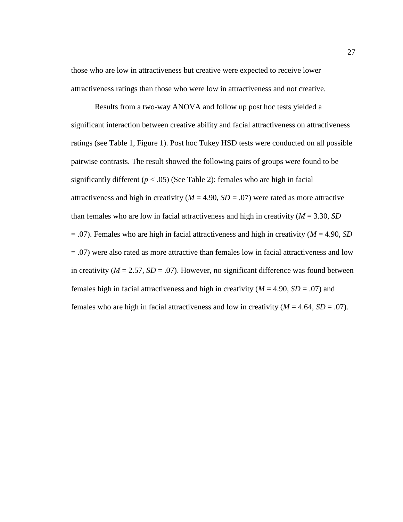those who are low in attractiveness but creative were expected to receive lower attractiveness ratings than those who were low in attractiveness and not creative.

Results from a two-way ANOVA and follow up post hoc tests yielded a significant interaction between creative ability and facial attractiveness on attractiveness ratings (see Table 1, Figure 1). Post hoc Tukey HSD tests were conducted on all possible pairwise contrasts. The result showed the following pairs of groups were found to be significantly different  $(p < .05)$  (See Table 2): females who are high in facial attractiveness and high in creativity ( $M = 4.90$ ,  $SD = .07$ ) were rated as more attractive than females who are low in facial attractiveness and high in creativity (*M* = 3.30, *SD*  = .07). Females who are high in facial attractiveness and high in creativity (*M* = 4.90, *SD*  = .07) were also rated as more attractive than females low in facial attractiveness and low in creativity ( $M = 2.57$ ,  $SD = .07$ ). However, no significant difference was found between females high in facial attractiveness and high in creativity ( $M = 4.90$ ,  $SD = .07$ ) and females who are high in facial attractiveness and low in creativity  $(M = 4.64, SD = .07)$ .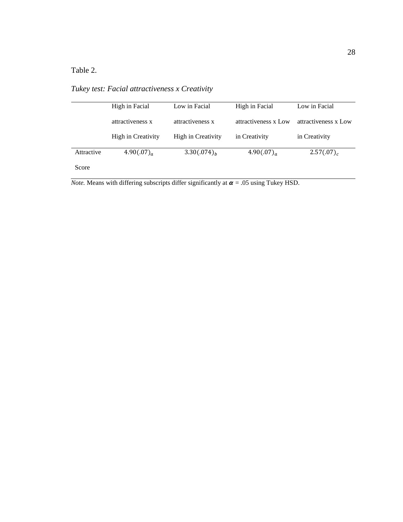<span id="page-37-0"></span>Table 2.

*Tukey test: Facial attractiveness x Creativity*

|            | High in Facial     | Low in Facial      | High in Facial       | Low in Facial        |  |
|------------|--------------------|--------------------|----------------------|----------------------|--|
|            | attractiveness x   | attractiveness x   | attractiveness x Low | attractiveness x Low |  |
|            | High in Creativity | High in Creativity | in Creativity        | in Creativity        |  |
| Attractive | 4.90 $(.07)_{a}$   | $3.30(.074)_{h}$   | 4.90 $(.07)_{a}$     | $2.57(.07)_{c}$      |  |
| Score      |                    |                    |                      |                      |  |

*Note.* Means with differing subscripts differ significantly at  $\alpha$  = .05 using Tukey HSD.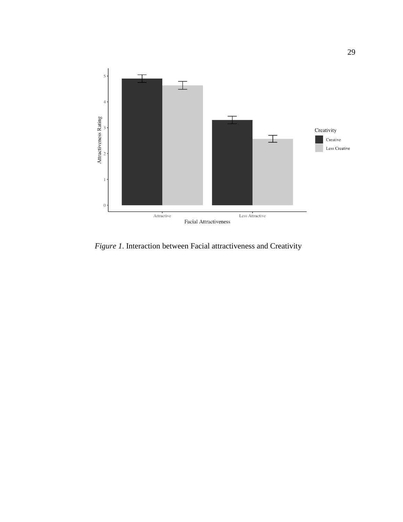

<span id="page-38-0"></span>*Figure 1*. Interaction between Facial attractiveness and Creativity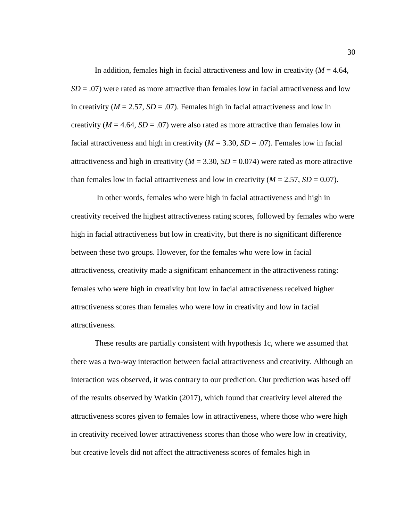In addition, females high in facial attractiveness and low in creativity  $(M = 4.64,$  $SD = .07$ ) were rated as more attractive than females low in facial attractiveness and low in creativity  $(M = 2.57, SD = .07)$ . Females high in facial attractiveness and low in creativity ( $M = 4.64$ ,  $SD = .07$ ) were also rated as more attractive than females low in facial attractiveness and high in creativity ( $M = 3.30$ ,  $SD = .07$ ). Females low in facial attractiveness and high in creativity ( $M = 3.30$ ,  $SD = 0.074$ ) were rated as more attractive than females low in facial attractiveness and low in creativity  $(M = 2.57, SD = 0.07)$ .

In other words, females who were high in facial attractiveness and high in creativity received the highest attractiveness rating scores, followed by females who were high in facial attractiveness but low in creativity, but there is no significant difference between these two groups. However, for the females who were low in facial attractiveness, creativity made a significant enhancement in the attractiveness rating: females who were high in creativity but low in facial attractiveness received higher attractiveness scores than females who were low in creativity and low in facial attractiveness.

These results are partially consistent with hypothesis 1c, where we assumed that there was a two-way interaction between facial attractiveness and creativity. Although an interaction was observed, it was contrary to our prediction. Our prediction was based off of the results observed by Watkin (2017), which found that creativity level altered the attractiveness scores given to females low in attractiveness, where those who were high in creativity received lower attractiveness scores than those who were low in creativity, but creative levels did not affect the attractiveness scores of females high in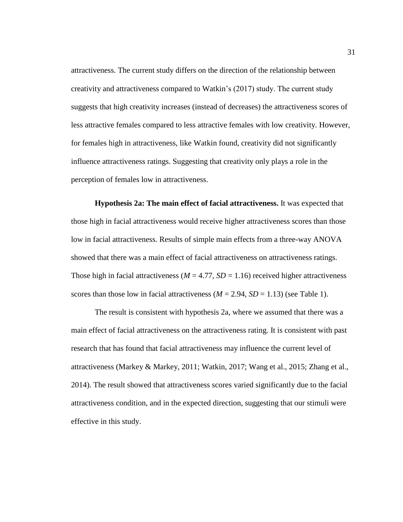attractiveness. The current study differs on the direction of the relationship between creativity and attractiveness compared to Watkin's (2017) study. The current study suggests that high creativity increases (instead of decreases) the attractiveness scores of less attractive females compared to less attractive females with low creativity. However, for females high in attractiveness, like Watkin found, creativity did not significantly influence attractiveness ratings. Suggesting that creativity only plays a role in the perception of females low in attractiveness.

<span id="page-40-0"></span>**Hypothesis 2a: The main effect of facial attractiveness.** It was expected that those high in facial attractiveness would receive higher attractiveness scores than those low in facial attractiveness. Results of simple main effects from a three-way ANOVA showed that there was a main effect of facial attractiveness on attractiveness ratings. Those high in facial attractiveness ( $M = 4.77$ ,  $SD = 1.16$ ) received higher attractiveness scores than those low in facial attractiveness  $(M = 2.94, SD = 1.13)$  (see Table 1).

The result is consistent with hypothesis 2a, where we assumed that there was a main effect of facial attractiveness on the attractiveness rating. It is consistent with past research that has found that facial attractiveness may influence the current level of attractiveness (Markey & Markey, 2011; Watkin, 2017; Wang et al., 2015; Zhang et al., 2014). The result showed that attractiveness scores varied significantly due to the facial attractiveness condition, and in the expected direction, suggesting that our stimuli were effective in this study.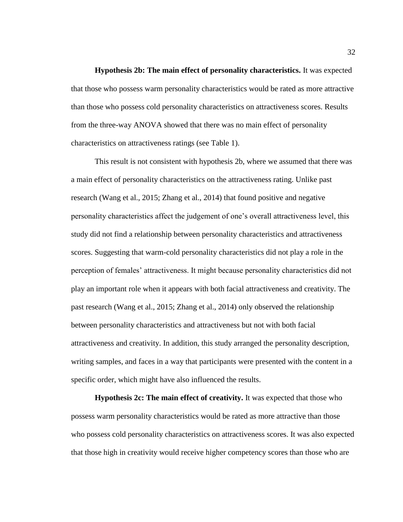<span id="page-41-0"></span>**Hypothesis 2b: The main effect of personality characteristics.** It was expected that those who possess warm personality characteristics would be rated as more attractive than those who possess cold personality characteristics on attractiveness scores. Results from the three-way ANOVA showed that there was no main effect of personality characteristics on attractiveness ratings (see Table 1).

This result is not consistent with hypothesis 2b, where we assumed that there was a main effect of personality characteristics on the attractiveness rating. Unlike past research (Wang et al., 2015; Zhang et al., 2014) that found positive and negative personality characteristics affect the judgement of one's overall attractiveness level, this study did not find a relationship between personality characteristics and attractiveness scores. Suggesting that warm-cold personality characteristics did not play a role in the perception of females' attractiveness. It might because personality characteristics did not play an important role when it appears with both facial attractiveness and creativity. The past research (Wang et al., 2015; Zhang et al., 2014) only observed the relationship between personality characteristics and attractiveness but not with both facial attractiveness and creativity. In addition, this study arranged the personality description, writing samples, and faces in a way that participants were presented with the content in a specific order, which might have also influenced the results.

<span id="page-41-1"></span>**Hypothesis 2c: The main effect of creativity.** It was expected that those who possess warm personality characteristics would be rated as more attractive than those who possess cold personality characteristics on attractiveness scores. It was also expected that those high in creativity would receive higher competency scores than those who are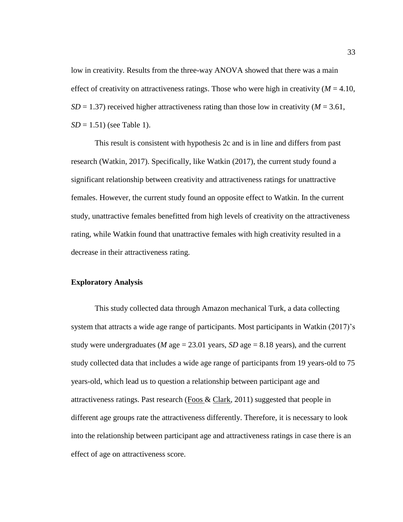low in creativity. Results from the three-way ANOVA showed that there was a main effect of creativity on attractiveness ratings. Those who were high in creativity  $(M = 4.10$ ,  $SD = 1.37$ ) received higher attractiveness rating than those low in creativity ( $M = 3.61$ , *SD* = 1.51) (see Table 1).

This result is consistent with hypothesis 2c and is in line and differs from past research (Watkin, 2017). Specifically, like Watkin (2017), the current study found a significant relationship between creativity and attractiveness ratings for unattractive females. However, the current study found an opposite effect to Watkin. In the current study, unattractive females benefitted from high levels of creativity on the attractiveness rating, while Watkin found that unattractive females with high creativity resulted in a decrease in their attractiveness rating.

# <span id="page-42-0"></span>**Exploratory Analysis**

This study collected data through Amazon mechanical Turk, a data collecting system that attracts a wide age range of participants. Most participants in Watkin (2017)'s study were undergraduates (*M* age = 23.01 years, *SD* age = 8.18 years), and the current study collected data that includes a wide age range of participants from 19 years-old to 75 years-old, which lead us to question a relationship between participant age and attractiveness ratings. Past research [\(Foos &](https://search-proquest-com.ezproxy.humboldt.edu/psycinfo/indexinglinkhandler/sng/au/Foos,+Paul+W/$N?accountid=11532) [Clark,](https://search-proquest-com.ezproxy.humboldt.edu/psycinfo/indexinglinkhandler/sng/au/Clark,+M.+Cherie/$N?accountid=11532) 2011) suggested that people in different age groups rate the attractiveness differently. Therefore, it is necessary to look into the relationship between participant age and attractiveness ratings in case there is an effect of age on attractiveness score.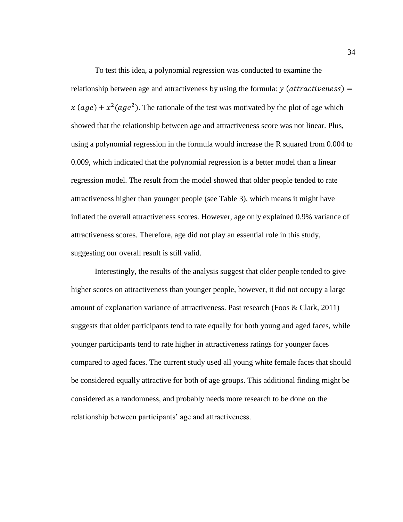To test this idea, a polynomial regression was conducted to examine the relationship between age and attractiveness by using the formula:  $y$  (*attractiveness*) = x (age) +  $x^2$ (age<sup>2</sup>). The rationale of the test was motivated by the plot of age which showed that the relationship between age and attractiveness score was not linear. Plus, using a polynomial regression in the formula would increase the R squared from 0.004 to 0.009, which indicated that the polynomial regression is a better model than a linear regression model. The result from the model showed that older people tended to rate attractiveness higher than younger people (see Table 3), which means it might have inflated the overall attractiveness scores. However, age only explained 0.9% variance of attractiveness scores. Therefore, age did not play an essential role in this study, suggesting our overall result is still valid.

Interestingly, the results of the analysis suggest that older people tended to give higher scores on attractiveness than younger people, however, it did not occupy a large amount of explanation variance of attractiveness. Past research (Foos & Clark, 2011) suggests that older participants tend to rate equally for both young and aged faces, while younger participants tend to rate higher in attractiveness ratings for younger faces compared to aged faces. The current study used all young white female faces that should be considered equally attractive for both of age groups. This additional finding might be considered as a randomness, and probably needs more research to be done on the relationship between participants' age and attractiveness.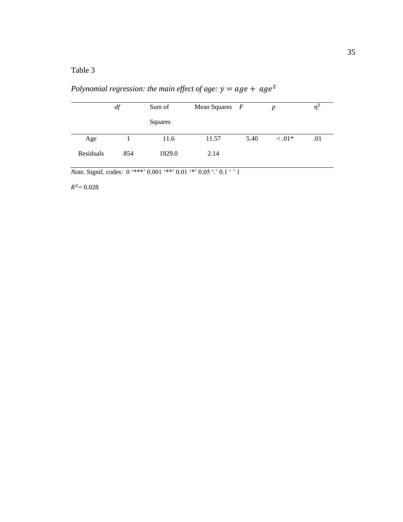<span id="page-44-0"></span>Table 3

*Polynomial regression: the main effect of age:*  $y = age + age^2$ 

|           | df  | Sum of  | Mean Squares $F$ |      | $\boldsymbol{p}$ | $\eta^2$ |
|-----------|-----|---------|------------------|------|------------------|----------|
|           |     | Squares |                  |      |                  |          |
| Age       |     | 11.6    | 11.57            | 5.40 | $\leq .01*$      | .01      |
| Residuals | 854 | 1829.0  | 2.14             |      |                  |          |

*Note.* Signif. codes:  $0 \cdot***$ ,  $0.001$   $***$ ,  $0.01$   $**$ ,  $0.05$   $\cdot$ ,  $0.1$   $\cdot$ ,  $1$ 

 $R^2$  = 0.028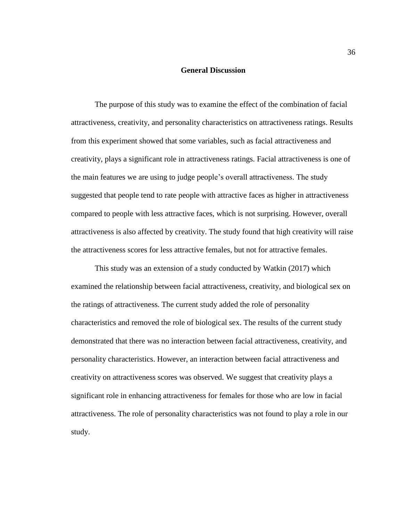## **General Discussion**

<span id="page-45-0"></span>The purpose of this study was to examine the effect of the combination of facial attractiveness, creativity, and personality characteristics on attractiveness ratings. Results from this experiment showed that some variables, such as facial attractiveness and creativity, plays a significant role in attractiveness ratings. Facial attractiveness is one of the main features we are using to judge people's overall attractiveness. The study suggested that people tend to rate people with attractive faces as higher in attractiveness compared to people with less attractive faces, which is not surprising. However, overall attractiveness is also affected by creativity. The study found that high creativity will raise the attractiveness scores for less attractive females, but not for attractive females.

This study was an extension of a study conducted by Watkin (2017) which examined the relationship between facial attractiveness, creativity, and biological sex on the ratings of attractiveness. The current study added the role of personality characteristics and removed the role of biological sex. The results of the current study demonstrated that there was no interaction between facial attractiveness, creativity, and personality characteristics. However, an interaction between facial attractiveness and creativity on attractiveness scores was observed. We suggest that creativity plays a significant role in enhancing attractiveness for females for those who are low in facial attractiveness. The role of personality characteristics was not found to play a role in our study.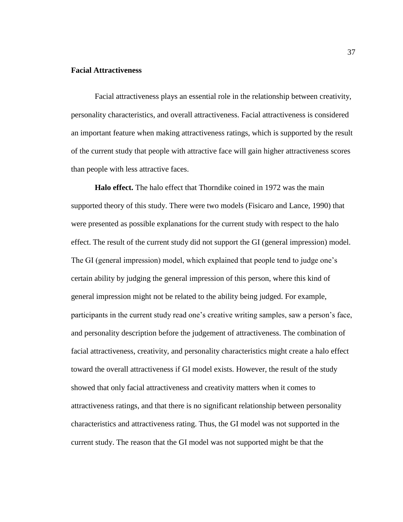## <span id="page-46-0"></span>**Facial Attractiveness**

Facial attractiveness plays an essential role in the relationship between creativity, personality characteristics, and overall attractiveness. Facial attractiveness is considered an important feature when making attractiveness ratings, which is supported by the result of the current study that people with attractive face will gain higher attractiveness scores than people with less attractive faces.

<span id="page-46-1"></span>**Halo effect.** The halo effect that Thorndike coined in 1972 was the main supported theory of this study. There were two models (Fisicaro and Lance, 1990) that were presented as possible explanations for the current study with respect to the halo effect. The result of the current study did not support the GI (general impression) model. The GI (general impression) model, which explained that people tend to judge one's certain ability by judging the general impression of this person, where this kind of general impression might not be related to the ability being judged. For example, participants in the current study read one's creative writing samples, saw a person's face, and personality description before the judgement of attractiveness. The combination of facial attractiveness, creativity, and personality characteristics might create a halo effect toward the overall attractiveness if GI model exists. However, the result of the study showed that only facial attractiveness and creativity matters when it comes to attractiveness ratings, and that there is no significant relationship between personality characteristics and attractiveness rating. Thus, the GI model was not supported in the current study. The reason that the GI model was not supported might be that the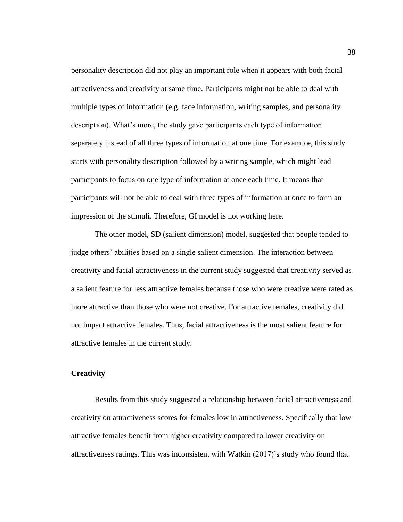personality description did not play an important role when it appears with both facial attractiveness and creativity at same time. Participants might not be able to deal with multiple types of information (e.g, face information, writing samples, and personality description). What's more, the study gave participants each type of information separately instead of all three types of information at one time. For example, this study starts with personality description followed by a writing sample, which might lead participants to focus on one type of information at once each time. It means that participants will not be able to deal with three types of information at once to form an impression of the stimuli. Therefore, GI model is not working here.

The other model, SD (salient dimension) model, suggested that people tended to judge others' abilities based on a single salient dimension. The interaction between creativity and facial attractiveness in the current study suggested that creativity served as a salient feature for less attractive females because those who were creative were rated as more attractive than those who were not creative. For attractive females, creativity did not impact attractive females. Thus, facial attractiveness is the most salient feature for attractive females in the current study.

#### <span id="page-47-0"></span>**Creativity**

Results from this study suggested a relationship between facial attractiveness and creativity on attractiveness scores for females low in attractiveness. Specifically that low attractive females benefit from higher creativity compared to lower creativity on attractiveness ratings. This was inconsistent with Watkin (2017)'s study who found that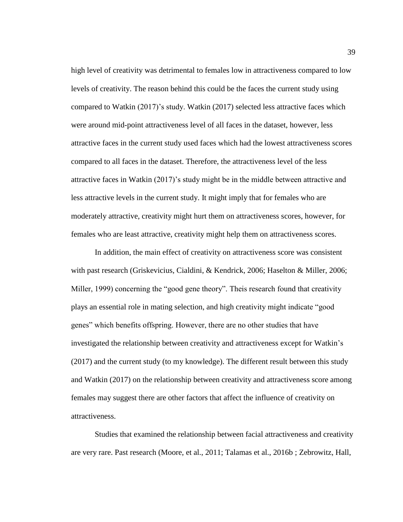high level of creativity was detrimental to females low in attractiveness compared to low levels of creativity. The reason behind this could be the faces the current study using compared to Watkin (2017)'s study. Watkin (2017) selected less attractive faces which were around mid-point attractiveness level of all faces in the dataset, however, less attractive faces in the current study used faces which had the lowest attractiveness scores compared to all faces in the dataset. Therefore, the attractiveness level of the less attractive faces in Watkin (2017)'s study might be in the middle between attractive and less attractive levels in the current study. It might imply that for females who are moderately attractive, creativity might hurt them on attractiveness scores, however, for females who are least attractive, creativity might help them on attractiveness scores.

In addition, the main effect of creativity on attractiveness score was consistent with past research (Griskevicius, Cialdini, & Kendrick, 2006; Haselton & Miller, 2006; Miller, 1999) concerning the "good gene theory". Theis research found that creativity plays an essential role in mating selection, and high creativity might indicate "good genes" which benefits offspring. However, there are no other studies that have investigated the relationship between creativity and attractiveness except for Watkin's (2017) and the current study (to my knowledge). The different result between this study and Watkin (2017) on the relationship between creativity and attractiveness score among females may suggest there are other factors that affect the influence of creativity on attractiveness.

Studies that examined the relationship between facial attractiveness and creativity are very rare. Past research (Moore, et al., 2011; Talamas et al., 2016b ; Zebrowitz, Hall,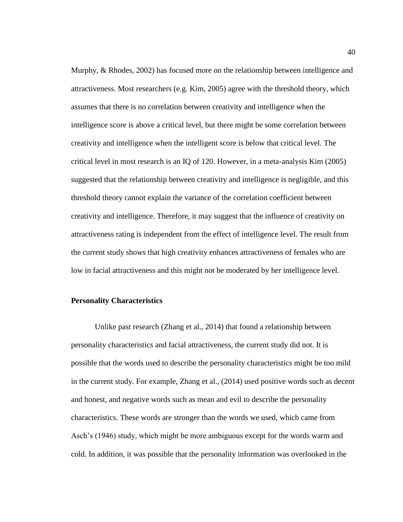Murphy, & Rhodes, 2002) has focused more on the relationship between intelligence and attractiveness. Most researchers (e.g. Kim, 2005) agree with the threshold theory, which assumes that there is no correlation between creativity and intelligence when the intelligence score is above a critical level, but there might be some correlation between creativity and intelligence when the intelligent score is below that critical level. The critical level in most research is an IQ of 120. However, in a meta-analysis Kim (2005) suggested that the relationship between creativity and intelligence is negligible, and this threshold theory cannot explain the variance of the correlation coefficient between creativity and intelligence. Therefore, it may suggest that the influence of creativity on attractiveness rating is independent from the effect of intelligence level. The result from the current study shows that high creativity enhances attractiveness of females who are low in facial attractiveness and this might not be moderated by her intelligence level.

#### <span id="page-49-0"></span>**Personality Characteristics**

Unlike past research (Zhang et al., 2014) that found a relationship between personality characteristics and facial attractiveness, the current study did not. It is possible that the words used to describe the personality characteristics might be too mild in the current study. For example, Zhang et al., (2014) used positive words such as decent and honest, and negative words such as mean and evil to describe the personality characteristics. These words are stronger than the words we used, which came from Asch's (1946) study, which might be more ambiguous except for the words warm and cold. In addition, it was possible that the personality information was overlooked in the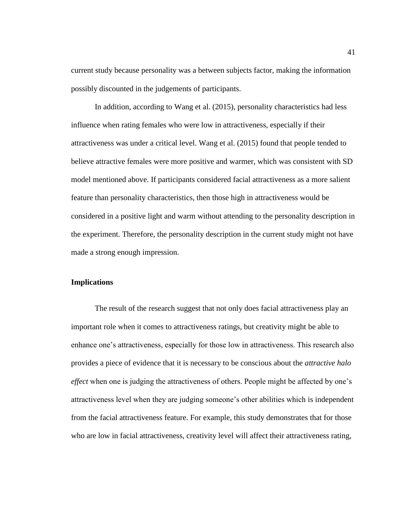current study because personality was a between subjects factor, making the information possibly discounted in the judgements of participants.

In addition, according to Wang et al. (2015), personality characteristics had less influence when rating females who were low in attractiveness, especially if their attractiveness was under a critical level. Wang et al. (2015) found that people tended to believe attractive females were more positive and warmer, which was consistent with SD model mentioned above. If participants considered facial attractiveness as a more salient feature than personality characteristics, then those high in attractiveness would be considered in a positive light and warm without attending to the personality description in the experiment. Therefore, the personality description in the current study might not have made a strong enough impression.

# <span id="page-50-0"></span>**Implications**

The result of the research suggest that not only does facial attractiveness play an important role when it comes to attractiveness ratings, but creativity might be able to enhance one's attractiveness, especially for those low in attractiveness. This research also provides a piece of evidence that it is necessary to be conscious about the *attractive halo effect* when one is judging the attractiveness of others. People might be affected by one's attractiveness level when they are judging someone's other abilities which is independent from the facial attractiveness feature. For example, this study demonstrates that for those who are low in facial attractiveness, creativity level will affect their attractiveness rating,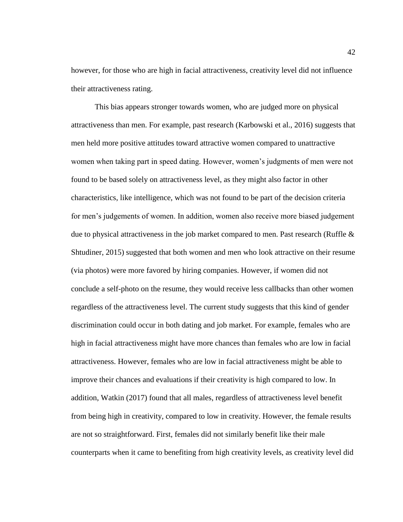however, for those who are high in facial attractiveness, creativity level did not influence their attractiveness rating.

This bias appears stronger towards women, who are judged more on physical attractiveness than men. For example, past research (Karbowski et al., 2016) suggests that men held more positive attitudes toward attractive women compared to unattractive women when taking part in speed dating. However, women's judgments of men were not found to be based solely on attractiveness level, as they might also factor in other characteristics, like intelligence, which was not found to be part of the decision criteria for men's judgements of women. In addition, women also receive more biased judgement due to physical attractiveness in the job market compared to men. Past research (Ruffle  $\&$ Shtudiner, 2015) suggested that both women and men who look attractive on their resume (via photos) were more favored by hiring companies. However, if women did not conclude a self-photo on the resume, they would receive less callbacks than other women regardless of the attractiveness level. The current study suggests that this kind of gender discrimination could occur in both dating and job market. For example, females who are high in facial attractiveness might have more chances than females who are low in facial attractiveness. However, females who are low in facial attractiveness might be able to improve their chances and evaluations if their creativity is high compared to low. In addition, Watkin (2017) found that all males, regardless of attractiveness level benefit from being high in creativity, compared to low in creativity. However, the female results are not so straightforward. First, females did not similarly benefit like their male counterparts when it came to benefiting from high creativity levels, as creativity level did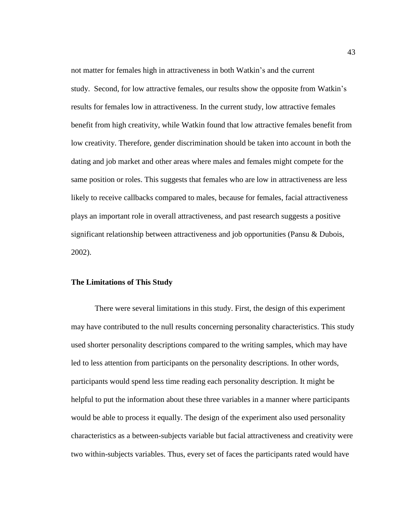not matter for females high in attractiveness in both Watkin's and the current study. Second, for low attractive females, our results show the opposite from Watkin's results for females low in attractiveness. In the current study, low attractive females benefit from high creativity, while Watkin found that low attractive females benefit from low creativity. Therefore, gender discrimination should be taken into account in both the dating and job market and other areas where males and females might compete for the same position or roles. This suggests that females who are low in attractiveness are less likely to receive callbacks compared to males, because for females, facial attractiveness plays an important role in overall attractiveness, and past research suggests a positive significant relationship between attractiveness and job opportunities (Pansu & Dubois, 2002).

# <span id="page-52-0"></span>**The Limitations of This Study**

There were several limitations in this study. First, the design of this experiment may have contributed to the null results concerning personality characteristics. This study used shorter personality descriptions compared to the writing samples, which may have led to less attention from participants on the personality descriptions. In other words, participants would spend less time reading each personality description. It might be helpful to put the information about these three variables in a manner where participants would be able to process it equally. The design of the experiment also used personality characteristics as a between-subjects variable but facial attractiveness and creativity were two within-subjects variables. Thus, every set of faces the participants rated would have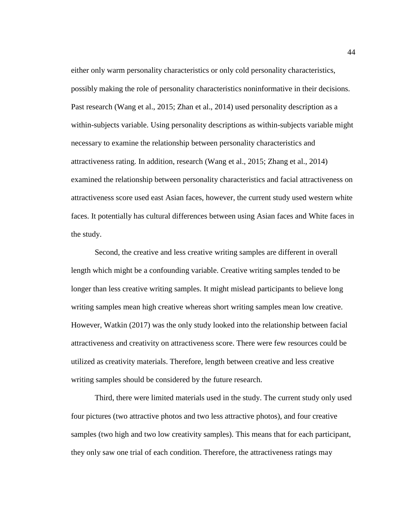either only warm personality characteristics or only cold personality characteristics, possibly making the role of personality characteristics noninformative in their decisions. Past research (Wang et al., 2015; Zhan et al., 2014) used personality description as a within-subjects variable. Using personality descriptions as within-subjects variable might necessary to examine the relationship between personality characteristics and attractiveness rating. In addition, research (Wang et al., 2015; Zhang et al., 2014) examined the relationship between personality characteristics and facial attractiveness on attractiveness score used east Asian faces, however, the current study used western white faces. It potentially has cultural differences between using Asian faces and White faces in the study.

Second, the creative and less creative writing samples are different in overall length which might be a confounding variable. Creative writing samples tended to be longer than less creative writing samples. It might mislead participants to believe long writing samples mean high creative whereas short writing samples mean low creative. However, Watkin (2017) was the only study looked into the relationship between facial attractiveness and creativity on attractiveness score. There were few resources could be utilized as creativity materials. Therefore, length between creative and less creative writing samples should be considered by the future research.

Third, there were limited materials used in the study. The current study only used four pictures (two attractive photos and two less attractive photos), and four creative samples (two high and two low creativity samples). This means that for each participant, they only saw one trial of each condition. Therefore, the attractiveness ratings may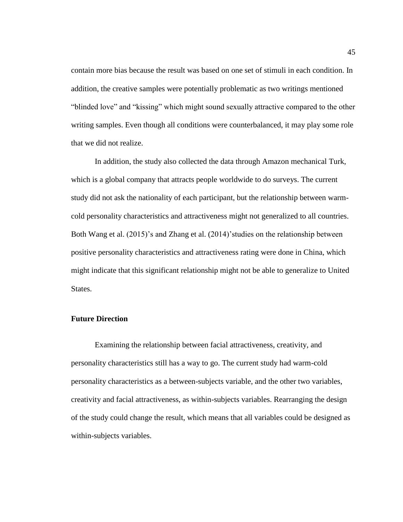contain more bias because the result was based on one set of stimuli in each condition. In addition, the creative samples were potentially problematic as two writings mentioned "blinded love" and "kissing" which might sound sexually attractive compared to the other writing samples. Even though all conditions were counterbalanced, it may play some role that we did not realize.

In addition, the study also collected the data through Amazon mechanical Turk, which is a global company that attracts people worldwide to do surveys. The current study did not ask the nationality of each participant, but the relationship between warmcold personality characteristics and attractiveness might not generalized to all countries. Both Wang et al. (2015)'s and Zhang et al. (2014)'studies on the relationship between positive personality characteristics and attractiveness rating were done in China, which might indicate that this significant relationship might not be able to generalize to United States.

#### <span id="page-54-0"></span>**Future Direction**

Examining the relationship between facial attractiveness, creativity, and personality characteristics still has a way to go. The current study had warm-cold personality characteristics as a between-subjects variable, and the other two variables, creativity and facial attractiveness, as within-subjects variables. Rearranging the design of the study could change the result, which means that all variables could be designed as within-subjects variables.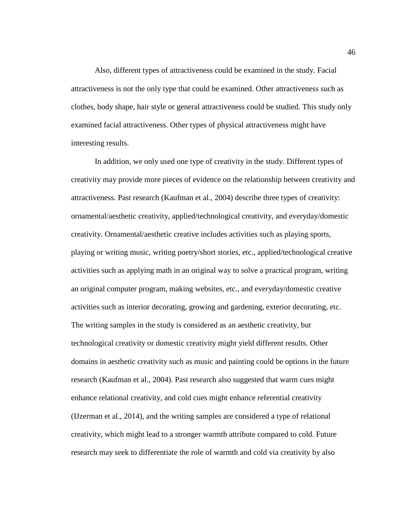Also, different types of attractiveness could be examined in the study. Facial attractiveness is not the only type that could be examined. Other attractiveness such as clothes, body shape, hair style or general attractiveness could be studied. This study only examined facial attractiveness. Other types of physical attractiveness might have interesting results.

In addition, we only used one type of creativity in the study. Different types of creativity may provide more pieces of evidence on the relationship between creativity and attractiveness. Past research (Kaufman et al., 2004) describe three types of creativity: ornamental/aesthetic creativity, applied/technological creativity, and everyday/domestic creativity. Ornamental/aesthetic creative includes activities such as playing sports, playing or writing music, writing poetry/short stories, etc., applied/technological creative activities such as applying math in an original way to solve a practical program, writing an original computer program, making websites, etc., and everyday/domestic creative activities such as interior decorating, growing and gardening, exterior decorating, etc. The writing samples in the study is considered as an aesthetic creativity, but technological creativity or domestic creativity might yield different results. Other domains in aesthetic creativity such as music and painting could be options in the future research (Kaufman et al., 2004). Past research also suggested that warm cues might enhance relational creativity, and cold cues might enhance referential creativity (IJzerman et al., 2014), and the writing samples are considered a type of relational creativity, which might lead to a stronger warmth attribute compared to cold. Future research may seek to differentiate the role of warmth and cold via creativity by also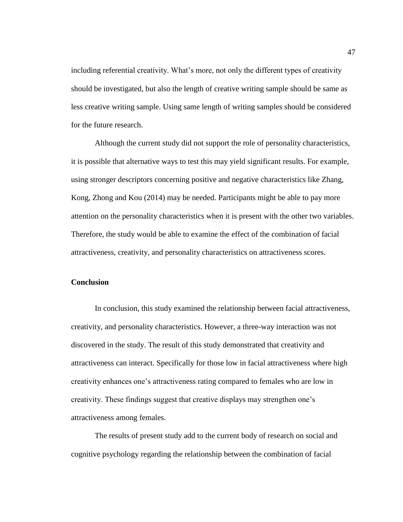including referential creativity. What's more, not only the different types of creativity should be investigated, but also the length of creative writing sample should be same as less creative writing sample. Using same length of writing samples should be considered for the future research.

Although the current study did not support the role of personality characteristics, it is possible that alternative ways to test this may yield significant results. For example, using stronger descriptors concerning positive and negative characteristics like Zhang, Kong, Zhong and Kou (2014) may be needed. Participants might be able to pay more attention on the personality characteristics when it is present with the other two variables. Therefore, the study would be able to examine the effect of the combination of facial attractiveness, creativity, and personality characteristics on attractiveness scores.

# <span id="page-56-0"></span>**Conclusion**

In conclusion, this study examined the relationship between facial attractiveness, creativity, and personality characteristics. However, a three-way interaction was not discovered in the study. The result of this study demonstrated that creativity and attractiveness can interact. Specifically for those low in facial attractiveness where high creativity enhances one's attractiveness rating compared to females who are low in creativity. These findings suggest that creative displays may strengthen one's attractiveness among females.

The results of present study add to the current body of research on social and cognitive psychology regarding the relationship between the combination of facial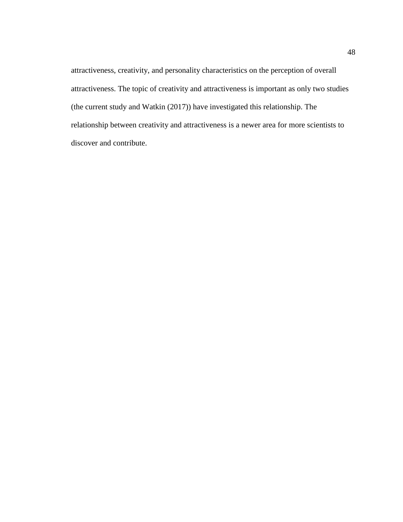attractiveness, creativity, and personality characteristics on the perception of overall attractiveness. The topic of creativity and attractiveness is important as only two studies (the current study and Watkin (2017)) have investigated this relationship. The relationship between creativity and attractiveness is a newer area for more scientists to discover and contribute.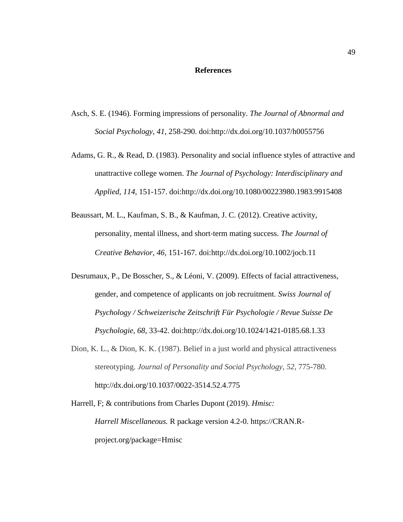## **References**

- <span id="page-58-0"></span>Asch, S. E. (1946). Forming impressions of personality. *The Journal of Abnormal and Social Psychology, 41*, 258-290. doi[:http://dx.doi.org/10.1037/h0055756](http://dx.doi.org/10.1037/h0055756)
- Adams, G. R., & Read, D. (1983). Personality and social influence styles of attractive and unattractive college women. *The Journal of Psychology: Interdisciplinary and Applied, 114*, 151-157. doi[:http://dx.doi.org/10.1080/00223980.1983.9915408](http://dx.doi.org/10.1080/00223980.1983.9915408)
- Beaussart, M. L., Kaufman, S. B., & Kaufman, J. C. (2012). Creative activity, personality, mental illness, and short‐term mating success. *The Journal of Creative Behavior, 46,* 151-167. doi[:http://dx.doi.org/10.1002/jocb.11](http://dx.doi.org/10.1002/jocb.11)
- Desrumaux, P., De Bosscher, S., & Léoni, V. (2009). Effects of facial attractiveness, gender, and competence of applicants on job recruitment. *Swiss Journal of Psychology / Schweizerische Zeitschrift Für Psychologie / Revue Suisse De Psychologie, 68*, 33-42. doi[:http://dx.doi.org/10.1024/1421-0185.68.1.33](http://dx.doi.org/10.1024/1421-0185.68.1.33)
- Dion, K. L., & Dion, K. K. (1987). Belief in a just world and physical attractiveness stereotyping. *Journal of Personality and Social Psychology, 52*, 775-780. [http://dx.doi.org/10.1037/0022-3514.52.4.775](https://psycnet.apa.org/doi/10.1037/0022-3514.52.4.775)

Harrell, F; & contributions from Charles Dupont (2019). *Hmisc: Harrell Miscellaneous.* R package version 4.2-0. https://CRAN.Rproject.org/package=Hmisc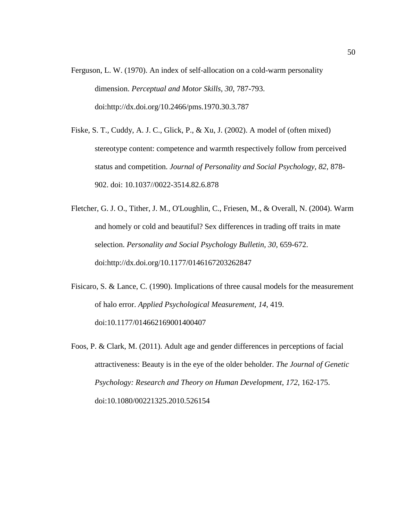- Ferguson, L. W. (1970). An index of self-allocation on a cold-warm personality dimension. *Perceptual and Motor Skills, 30*, 787-793. doi[:http://dx.doi.org/10.2466/pms.1970.30.3.787](http://dx.doi.org/10.2466/pms.1970.30.3.787)
- Fiske, S. T., Cuddy, A. J. C., Glick, P., & Xu, J. (2002). A model of (often mixed) stereotype content: competence and warmth respectively follow from perceived status and competition. *Journal of Personality and Social Psychology, 82*, 878- 902. doi: 10.1037//0022-3514.82.6.878
- Fletcher, G. J. O., Tither, J. M., O'Loughlin, C., Friesen, M., & Overall, N. (2004). Warm and homely or cold and beautiful? Sex differences in trading off traits in mate selection. *Personality and Social Psychology Bulletin, 30*, 659-672. doi[:http://dx.doi.org/10.1177/0146167203262847](http://dx.doi.org/10.1177/0146167203262847)
- Fisicaro, S. & Lance, C. (1990). Implications of three causal models for the measurement of halo error. *Applied Psychological Measurement, 14*, 419. doi:10.1177/014662169001400407
- Foos, P. & Clark, M. (2011). Adult age and gender differences in perceptions of facial attractiveness: Beauty is in the eye of the older beholder. *[The Journal of Genetic](https://search-proquest-com.ezproxy.humboldt.edu/psycinfo/pubidlinkhandler/sng/pubtitle/The+Journal+of+Genetic+Psychology:+Research+and+Theory+on+Human+Development/$N?accountid=11532)  [Psychology: Research and Theory on Human Development](https://search-proquest-com.ezproxy.humboldt.edu/psycinfo/pubidlinkhandler/sng/pubtitle/The+Journal+of+Genetic+Psychology:+Research+and+Theory+on+Human+Development/$N?accountid=11532)*, *[172](https://search-proquest-com.ezproxy.humboldt.edu/psycinfo/indexingvolumeissuelinkhandler/23494/The+Journal+of+Genetic+Psychology:+Research+and+Theory+on+Human+Development/02011Y04Y01$23Apr+2011$3b++Vol.+172+$282$29/172/2?accountid=11532)*, 162-175. doi:10.1080/00221325.2010.526154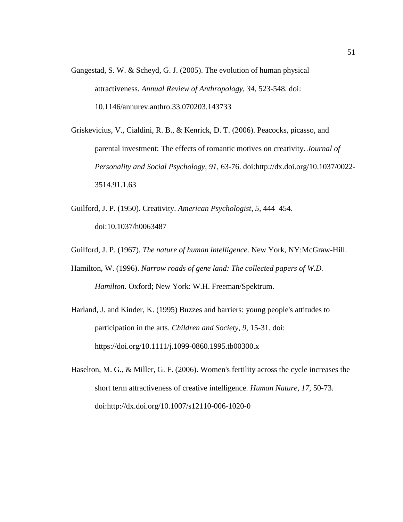- Gangestad, S. W. & Scheyd, G. J. (2005). The evolution of human physical attractiveness. *Annual Review of Anthropology, 34*, 523-548. doi: 10.1146/annurev.anthro.33.070203.143733
- Griskevicius, V., Cialdini, R. B., & Kenrick, D. T. (2006). Peacocks, picasso, and parental investment: The effects of romantic motives on creativity. *Journal of Personality and Social Psychology, 91*, 63-76. doi[:http://dx.doi.org/10.1037/0022-](http://dx.doi.org/10.1037/0022-3514.91.1.63) [3514.91.1.63](http://dx.doi.org/10.1037/0022-3514.91.1.63)
- Guilford, J. P. (1950). Creativity. *American Psychologist*, *5*, 444–454. doi:10.1037/h0063487
- Guilford, J. P. (1967). *The nature of human intelligence*. New York, NY:McGraw-Hill.
- Hamilton, W. (1996). *Narrow roads of gene land: The collected papers of W.D. Hamilton.* Oxford; New York: W.H. Freeman/Spektrum.
- Harland, J. and Kinder, K. (1995) Buzzes and barriers: young people's attitudes to participation in the arts. *Children and Society*, *9*, 15-31. doi: <https://doi.org/10.1111/j.1099-0860.1995.tb00300.x>
- Haselton, M. G., & Miller, G. F. (2006). Women's fertility across the cycle increases the short term attractiveness of creative intelligence. *Human Nature, 17*, 50-73. doi[:http://dx.doi.org/10.1007/s12110-006-1020-0](http://dx.doi.org/10.1007/s12110-006-1020-0)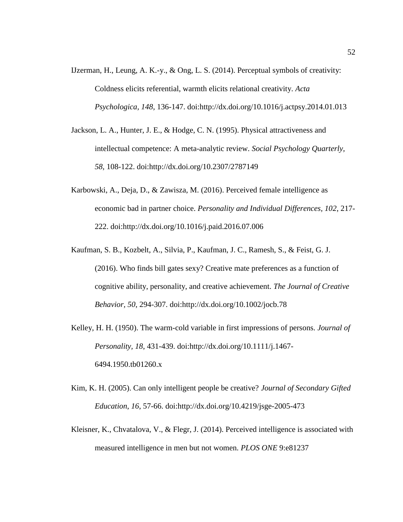- IJzerman, H., Leung, A. K.-y., & Ong, L. S. (2014). Perceptual symbols of creativity: Coldness elicits referential, warmth elicits relational creativity. *Acta Psychologica, 148*, 136-147. doi[:http://dx.doi.org/10.1016/j.actpsy.2014.01.013](http://dx.doi.org/10.1016/j.actpsy.2014.01.013)
- Jackson, L. A., Hunter, J. E., & Hodge, C. N. (1995). Physical attractiveness and intellectual competence: A meta-analytic review. *Social Psychology Quarterly, 58*, 108-122. doi[:http://dx.doi.org/10.2307/2787149](http://dx.doi.org/10.2307/2787149)
- Karbowski, A., Deja, D., & Zawisza, M. (2016). Perceived female intelligence as economic bad in partner choice. *Personality and Individual Differences, 102*, 217- 222. doi[:http://dx.doi.org/10.1016/j.paid.2016.07.006](http://dx.doi.org/10.1016/j.paid.2016.07.006)
- Kaufman, S. B., Kozbelt, A., Silvia, P., Kaufman, J. C., Ramesh, S., & Feist, G. J. (2016). Who finds bill gates sexy? Creative mate preferences as a function of cognitive ability, personality, and creative achievement. *The Journal of Creative Behavior, 50*, 294-307. doi[:http://dx.doi.org/10.1002/jocb.78](http://dx.doi.org/10.1002/jocb.78)
- Kelley, H. H. (1950). The warm-cold variable in first impressions of persons. *Journal of Personality, 18*, 431-439. doi[:http://dx.doi.org/10.1111/j.1467-](http://dx.doi.org/10.1111/j.1467-6494.1950.tb01260.x) [6494.1950.tb01260.x](http://dx.doi.org/10.1111/j.1467-6494.1950.tb01260.x)
- Kim, K. H. (2005). Can only intelligent people be creative? *Journal of Secondary Gifted Education*, *16*, 57-66. doi[:http://dx.doi.org/10.4219/jsge-2005-473](https://psycnet.apa.org/doi/10.4219/jsge-2005-473)
- Kleisner, K., Chvatalova, V., & Flegr, J. (2014). Perceived intelligence is associated with measured intelligence in men but not women. *PLOS ONE* 9:e81237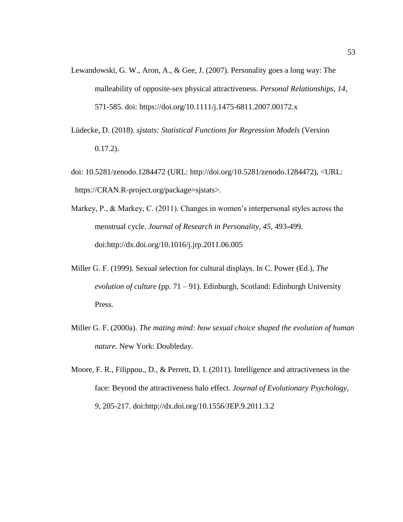- Lewandowski, G. W., Aron, A., & Gee, J. (2007). Personality goes a long way: The malleability of opposite-sex physical attractiveness. *Personal Relationships, 14*, 571-585. doi: <https://doi.org/10.1111/j.1475-6811.2007.00172.x>
- Lüdecke, D. (2018). *sjstats: Statistical Functions for Regression Models* (Version 0.17.2).
- doi: 10.5281/zenodo.1284472 (URL: http://doi.org/10.5281/zenodo.1284472), <URL: https://CRAN.R-project.org/package=sjstats>.
- Markey, P., & Markey, C. (2011). Changes in women's interpersonal styles across the menstrual cycle. *Journal of Research in Personality, 45*, 493-499. doi[:http://dx.doi.org/10.1016/j.jrp.2011.06.005](http://dx.doi.org/10.1016/j.jrp.2011.06.005)
- Miller G. F. (1999). Sexual selection for cultural displays. In C. Power (Ed.), *The evolution of culture* (pp. 71 – 91). Edinburgh, Scotland: Edinburgh University Press.
- Miller G. F. (2000a). *The mating mind: how sexual choice shaped the evolution of human nature*. New York: Doubleday.
- Moore, F. R., Filippou., D., & Perrett, D. I. (2011). Intelligence and attractiveness in the face: Beyond the attractiveness halo effect. *Journal of Evolutionary Psychology, 9*, 205-217. doi:http://dx.doi.org/10.1556/JEP.9.2011.3.2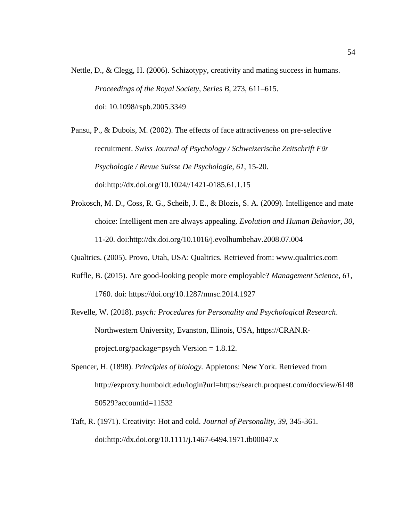Nettle, D., & Clegg, H. (2006). Schizotypy, creativity and mating success in humans. *Proceedings of the Royal Society, Series B*, 273, 611–615. doi: [10.1098/rspb.2005.3349](https://dx.doi.org/10.1098%2Frspb.2005.3349)

Pansu, P., & Dubois, M. (2002). The effects of face attractiveness on pre-selective recruitment. *Swiss Journal of Psychology / Schweizerische Zeitschrift Für Psychologie / Revue Suisse De Psychologie, 61*, 15-20. doi:http://dx.doi.org/10.1024//1421-0185.61.1.15

- Prokosch, M. D., Coss, R. G., Scheib, J. E., & Blozis, S. A. (2009). Intelligence and mate choice: Intelligent men are always appealing. *Evolution and Human Behavior, 30*, 11-20. doi:http://dx.doi.org/10.1016/j.evolhumbehav.2008.07.004
- Qualtrics. (2005). Provo, Utah, USA: Qualtrics. Retrieved from: www.qualtrics.com
- Ruffle, B. (2015). Are good-looking people more employable? *Management Science, 61*, 1760. doi:<https://doi.org/10.1287/mnsc.2014.1927>

Revelle, W. (2018). *psych: Procedures for Personality and Psychological Research*. Northwestern University, Evanston, Illinois, USA, https://CRAN.Rproject.org/package=psych Version = 1.8.12.

- Spencer, H. (1898). *Principles of biology.* Appletons: New York. Retrieved from [http://ezproxy.humboldt.edu/login?url=https://search.proquest.com/docview/6148](http://ezproxy.humboldt.edu/login?url=https://search.proquest.com/docview/614850529?accountid=11532) [50529?accountid=11532](http://ezproxy.humboldt.edu/login?url=https://search.proquest.com/docview/614850529?accountid=11532)
- Taft, R. (1971). Creativity: Hot and cold. *Journal of Personality, 39*, 345-361. doi[:http://dx.doi.org/10.1111/j.1467-6494.1971.tb00047.x](http://dx.doi.org/10.1111/j.1467-6494.1971.tb00047.x)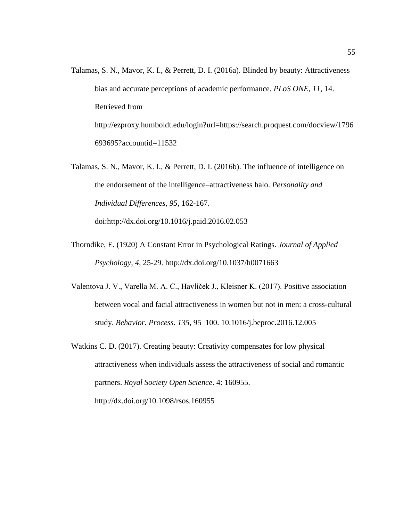- Talamas, S. N., Mavor, K. I., & Perrett, D. I. (2016a). Blinded by beauty: Attractiveness bias and accurate perceptions of academic performance. *PLoS ONE, 11*, 14. Retrieved from [http://ezproxy.humboldt.edu/login?url=https://search.proquest.com/docview/1796](http://ezproxy.humboldt.edu/login?url=https://search.proquest.com/docview/1796693695?accountid=11532) [693695?accountid=11532](http://ezproxy.humboldt.edu/login?url=https://search.proquest.com/docview/1796693695?accountid=11532)
- Talamas, S. N., Mavor, K. I., & Perrett, D. I. (2016b). The influence of intelligence on the endorsement of the intelligence–attractiveness halo. *Personality and Individual Differences, 95*, 162-167. doi[:http://dx.doi.org/10.1016/j.paid.2016.02.053](http://dx.doi.org/10.1016/j.paid.2016.02.053)

Thorndike, E. (1920) A Constant Error in Psychological Ratings. *Journal of Applied* 

*Psychology*, *4*, 25-29. http://dx.doi.org/10.1037/h0071663

- Valentova J. V., Varella M. A. C., Havlíček J., Kleisner K. (2017). Positive association between vocal and facial attractiveness in women but not in men: a cross-cultural study. *Behavior. Process. 135,* 95–100. 10.1016/j.beproc.2016.12.005
- Watkins C. D. (2017). Creating beauty: Creativity compensates for low physical attractiveness when individuals assess the attractiveness of social and romantic partners. *Royal Society Open Science*. 4: 160955. <http://dx.doi.org/10.1098/rsos.160955>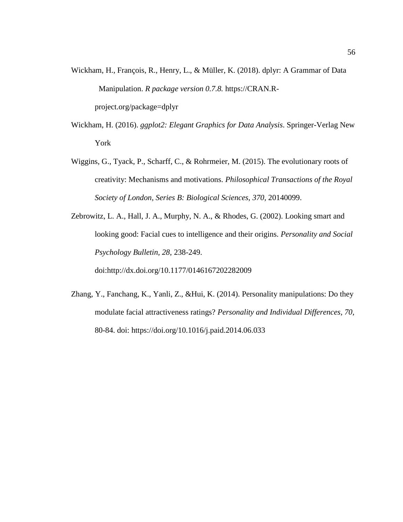- Wickham, H., François, R., Henry, L., & Müller, K. (2018). dplyr: A Grammar of Data Manipulation. *R package version 0.7.8.* [https://CRAN.R](https://cran.r-project.org/package=dplyr)[project.org/package=dplyr](https://cran.r-project.org/package=dplyr)
- Wickham, H. (2016). *ggplot2: Elegant Graphics for Data Analysis*. Springer-Verlag New York
- Wiggins, G., Tyack, P., Scharff, C., & Rohrmeier, M. (2015). The evolutionary roots of creativity: Mechanisms and motivations. *Philosophical Transactions of the Royal Society of London, Series B: Biological Sciences, 370,* 20140099.
- Zebrowitz, L. A., Hall, J. A., Murphy, N. A., & Rhodes, G. (2002). Looking smart and looking good: Facial cues to intelligence and their origins. *Personality and Social Psychology Bulletin, 28*, 238-249. doi[:http://dx.doi.org/10.1177/0146167202282009](http://dx.doi.org/10.1177/0146167202282009)
- Zhang, Y., Fanchang, K., Yanli, Z., &Hui, K. (2014). Personality manipulations: Do they modulate facial attractiveness ratings? *Personality and Individual Differences, 70*, 80-84. doi: <https://doi.org/10.1016/j.paid.2014.06.033>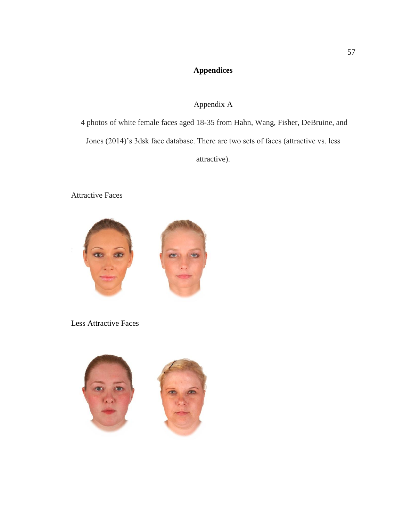# **Appendices**

# Appendix A

<span id="page-66-0"></span>4 photos of white female faces aged 18-35 from Hahn, Wang, Fisher, DeBruine, and Jones (2014)'s 3dsk face database. There are two sets of faces (attractive vs. less attractive).

 $\left\langle \Phi \right\rangle$ 

Attractive Faces



Less Attractive Faces

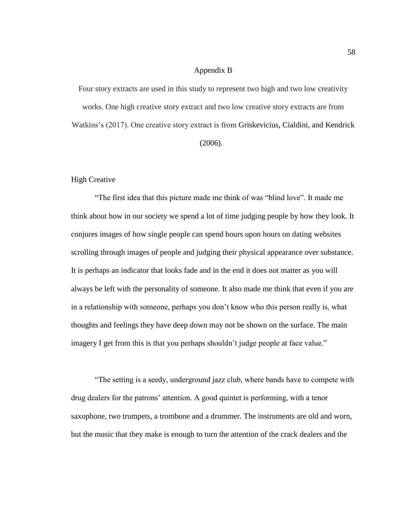## Appendix B

<span id="page-67-0"></span>Four story extracts are used in this study to represent two high and two low creativity works. One high creative story extract and two low creative story extracts are from Watkins's (2017). One creative story extract is from Griskevicius, Cialdini, and Kendrick (2006).

#### High Creative

"The first idea that this picture made me think of was "blind love". It made me think about how in our society we spend a lot of time judging people by how they look. It conjures images of how single people can spend hours upon hours on dating websites scrolling through images of people and judging their physical appearance over substance. It is perhaps an indicator that looks fade and in the end it does not matter as you will always be left with the personality of someone. It also made me think that even if you are in a relationship with someone, perhaps you don't know who this person really is, what thoughts and feelings they have deep down may not be shown on the surface. The main imagery I get from this is that you perhaps shouldn't judge people at face value."

"The setting is a seedy, underground jazz club, where bands have to compete with drug dealers for the patrons' attention. A good quintet is performing, with a tenor saxophone, two trumpets, a trombone and a drummer. The instruments are old and worn, but the music that they make is enough to turn the attention of the crack dealers and the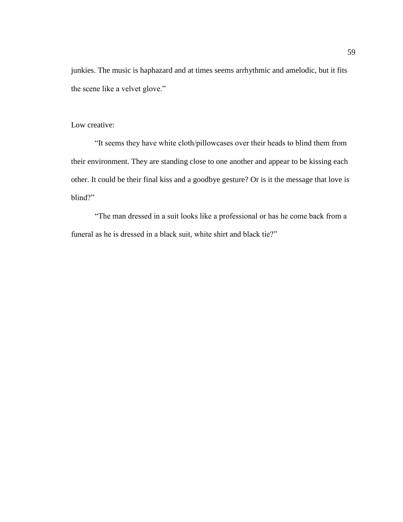junkies. The music is haphazard and at times seems arrhythmic and amelodic, but it fits the scene like a velvet glove."

## Low creative:

"It seems they have white cloth/pillowcases over their heads to blind them from their environment. They are standing close to one another and appear to be kissing each other. It could be their final kiss and a goodbye gesture? Or is it the message that love is blind?"

"The man dressed in a suit looks like a professional or has he come back from a funeral as he is dressed in a black suit, white shirt and black tie?"